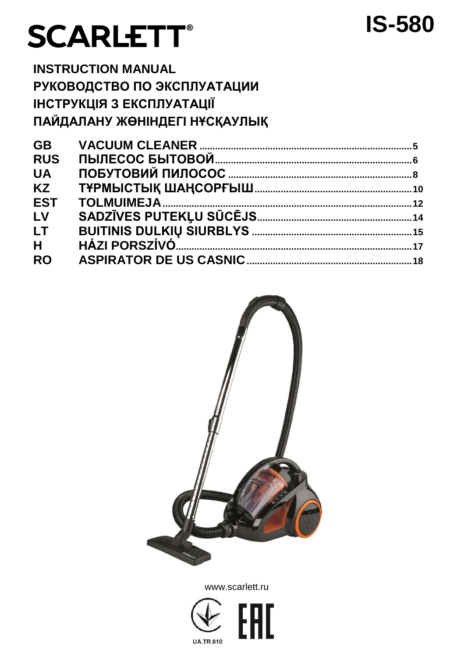# **SCARLETT®**

# **INSTRUCTION MANUAL РУКОВОДСТВО ПО ЭКСПЛУАТАЦИИ ІНСТРУКЦІЯ З ЕКСПЛУАТАЦІЇ ПАЙДАЛАНУ ЖӨНІНДЕГІ НҰСҚАУЛЫҚ**

| <b>GB</b>  |  |
|------------|--|
| <b>RUS</b> |  |
| <b>UA</b>  |  |
| <b>KZ</b>  |  |
| <b>EST</b> |  |
| LV         |  |
| LT.        |  |
| H.         |  |
| <b>RO</b>  |  |
|            |  |

**IS-580**



www.scarlett.ru

Iſ

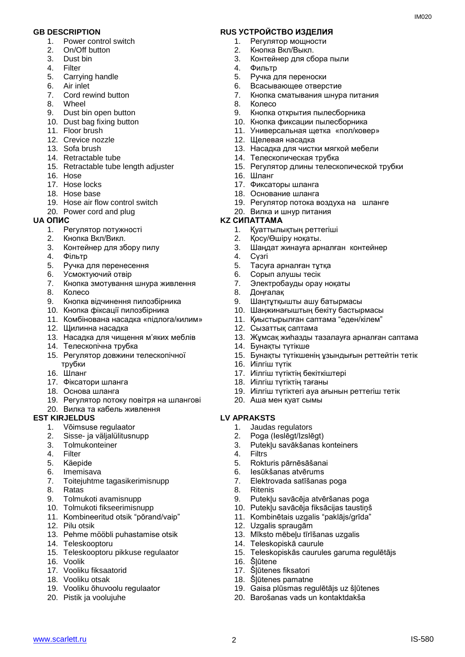- 1. Power control switch
- 2. On/Off button
- 3. Dust bin
- 4. Filter
- 5. Carrying handle
- 6. Air inlet
- 7. Cord rewind button
- 8. Wheel
- 9. Dust bin open button
- 10. Dust bag fixing button
- 11. Floor brush
- 12. Crevice nozzle
- 13. Sofa brush
- 14. Retractable tube
- 15. Retractable tube length adjuster
- 16. Hose
- 17. Hose locks
- 18. Hose base
- 19. Hose air flow control switch
- 20. Power cord and plug<br>UA ONIC

- 1. Регулятор потужності
- 2. Кнопка Вкл/Викл.
- 3. Контейнер для збору пилу
- 4. Фільтр
- 5. Ручка для перенесення
- 6. Усмоктуючий отвір
- 7. Кнопка змотування шнура живлення
- 8. Колесо
- 9. Кнопка відчинення пилозбірника
- 10. Кнопка фіксації пилозбірника
- 11. Комбінована насадка «підлога/килим»
- 12. Щилинна насадка
- 13. Насадка для чищення м'яких меблів
- 14. Телескопічна трубка
- 15. Регулятор довжини телескопічної трубки
- 16. Шланг
- 17. Фіксатори шланга
- 18. Основа шланга
- 19. Регулятор потоку повітря на шлангові
- 20. Вилка та кабель живлення

# **EST KIRJELDUS LV APRAKSTS**

- 1. Võimsuse regulaator
- 2. Sisse- ja väljalülitusnupp
- 3. Tolmukonteiner
- 4. Filter
- 5. Käepide
- 6. Imemisava
- 7. Toitejuhtme tagasikerimisnupp
- 8. Ratas
- 9. Tolmukoti avamisnupp
- 10. Tolmukoti fikseerimisnupp
- 11. Kombineeritud otsik "põrand/vaip"
- 12. Pilu otsik
- 13. Pehme mööbli puhastamise otsik
- 14. Teleskooptoru
- 15. Teleskooptoru pikkuse regulaator
- 16. Voolik
- 17. Vooliku fiksaatorid
- 18. Vooliku otsak
- 19. Vooliku õhuvoolu regulaator
- 20. Pistik ja voolujuhe

# **GB DESCRIPTION RUS УСТРОЙСТВО ИЗДЕЛИЯ**

- 1. Регулятор мощности
- 2. Кнопка Вкл/Выкл.
- 3. Контейнер для сбора пыли
- 4. Фильтр
- 5. Ручка для переноски
- 6. Всасывающее отверстие
- 7. Кнопка сматывания шнура питания
- 8. Колесо
- 9. Кнопка открытия пылесборника
- 10. Кнопка фиксации пылесборника
- 11. Универсальная щетка «пол/ковер»
- 12. Щелевая насадка
- 13. Насадка для чистки мягкой мебели
- 14. Телескопическая трубка
- 15. Регулятор длины телескопической трубки
- 16. Шланг
- 17. Фиксаторы шланга
- 18. Основание шланга
- 19. Регулятор потока воздуха на шланге
- 20. Вилка и шнур питания

# **UA ОПИС KZ СИПАТТАМА**

- 1. Қуаттылықтың реттегіші
- 2. Қосу/Өшіру ноқаты.
- 3. Шаңдат жинауға арналған контейнер
- 4. Сүзгі

www.scarlett.ru and the set of the set of the set of the set of the set of the set of the set of the set of the set of the set of the set of the set of the set of the set of the set of the set of the set of the set of the

- 5. Тасуға арналған тұтқа
- 6. Сорып алушы тесік
- 7. Электробауды орау ноқаты

17. Иілгіш түтіктің бекіткіштері 18. Иілгіш түтіктің тағаны

3. Putekļu savākšanas konteiners

9. Putekļu savācēja atvēršanas poga 10. Putekļu savācēja fiksācijas taustiņš 11. Kombinētais uzgalis "paklājs/grīda"

13. Mīksto mēbeļu tīrīšanas uzgalis

15. Teleskopiskās caurules garuma regulētājs

19. Gaisa plūsmas regulētājs uz šļūtenes 20. Barošanas vads un kontaktdakša

8. Доңғалақ

16. Иілгіш түтік

- 9. Шаңтұтқышты ашу батырмасы
- 10. Шаңжинағыштың бекіту бастырмасы
- 11. Қиыстырылған саптама "еден/кілем"
- 12. Сызаттық саптама
- 13. Жұмсақ жиһазды тазалауға арналған саптама

19. Иілгіш түтіктегі ауа ағынын реттегіш тетік

14. Бунақты түтікше 15. Бунақты түтікшенің ұзындығын реттейтін тетік

20. Аша мен қуат сымы

1. Jaudas regulators 2. Poga (Ieslēgt/Izslēgt)

12. Uzgalis spraugām

17. Šļūtenes fiksatori 18. Šļūtenes pamatne

14. Teleskopiskā caurule

5. Rokturis pārnēsāšanai 6. Iesūkšanas atvērums 7. Elektrovada satīšanas poga

4. Filtrs

8. Ritenis

16. Šļūtene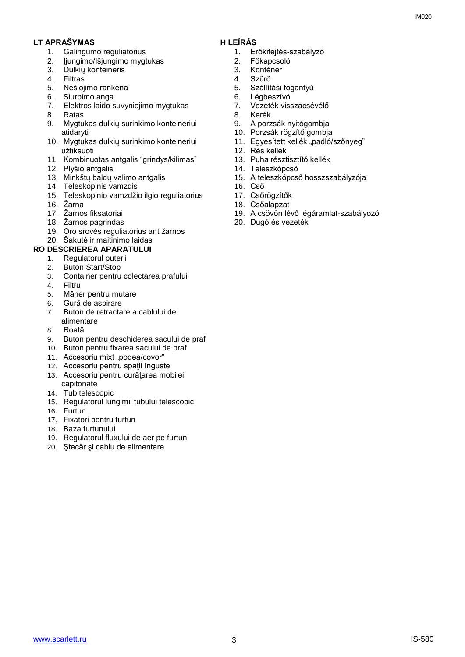# **LT APRAŠYMAS H LEÍRÁS**

- 1. Galingumo reguliatorius
- 2. Įjungimo/Išjungimo mygtukas
- 3. Dulkių konteineris
- 4. Filtras
- 5. Nešiojimo rankena
- Siurbimo anga
- 7. Elektros laido suvyniojimo mygtukas
- 8. Ratas
- 9. Mygtukas dulkių surinkimo konteineriui atidaryti
- 10. Mygtukas dulkių surinkimo konteineriui užfiksuoti
- 11. Kombinuotas antgalis "grindys/kilimas"
- 12. Plyšio antgalis
- 13. Minkštų baldų valimo antgalis
- 14. Teleskopinis vamzdis
- 15. Teleskopinio vamzdžio ilgio reguliatorius
- 16. Žarna
- 17. Žarnos fiksatoriai
- 18. Žarnos pagrindas
- 19. Oro srovės reguliatorius ant žarnos
- 20. Šakutė ir maitinimo laidas

# **RO DESCRIEREA APARATULUI**

- 
- 1. Regulatorul puterii<br>2. Buton Start/Stop
- 2. Buton Start/Stop 3. Container pentru colectarea prafului
- 4. Filtru
- 5. Mâner pentru mutare
- 6. Gură de aspirare
- 7. Buton de retractare a cablului de alimentare
- 8. Roată
- 9. Buton pentru deschiderea sacului de praf
- 10. Buton pentru fixarea sacului de praf
- 11. Accesoriu mixt "podea/covor"
- 12. Accesoriu pentru spatii înguste
- 13. Accesoriu pentru curăţarea mobilei capitonate
- 14. Tub telescopic
- 15. Regulatorul lungimii tubului telescopic
- 16. Furtun
- 17. Fixatori pentru furtun
- 18. Baza furtunului
- 19. Regulatorul fluxului de aer pe furtun
- 20. Ştecăr şi cablu de alimentare

- 1. Erőkifejtés-szabályzó
- 2. Főkapcsoló
- 3. Konténer
- 4. Szűrő
	- 5. Szállítási fogantyú
	- 6. Légbeszívó
	- 7. Vezeték visszacsévélő
	- 8. Kerék
	- 9. A porzsák nyitógombja
	- 10. Porzsák rögzítő gombja
	- 11. Egyesített kellék "padló/szőnyeg"
	- 12. Rés kellék
	- 13. Puha résztisztító kellék
	- 14. Teleszkópcső
	- 15. A teleszkópcső hosszszabályzója
	- 16. Cső
	- 17. Csőrögzítők
	- 18. Csőalapzat
	- 19. A csövön lévő légáramlat-szabályozó
	- 20. Dugó és vezeték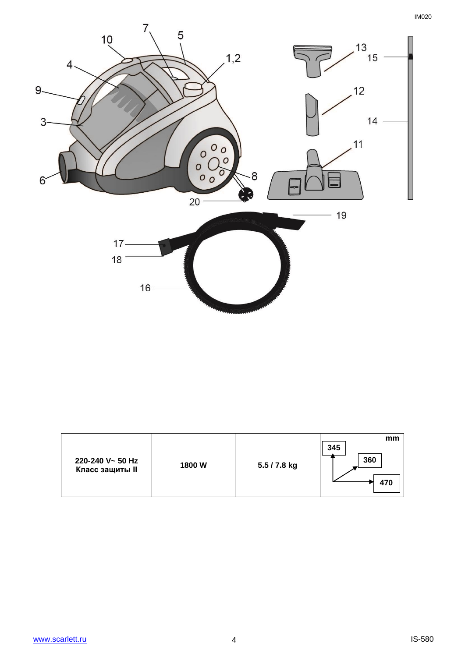

| 220-240 V~ 50 Hz<br><b>Класс защиты II</b> | 1800W | 5.5 / 7.8 kg | mm<br>345<br>360<br>470 |
|--------------------------------------------|-------|--------------|-------------------------|
|--------------------------------------------|-------|--------------|-------------------------|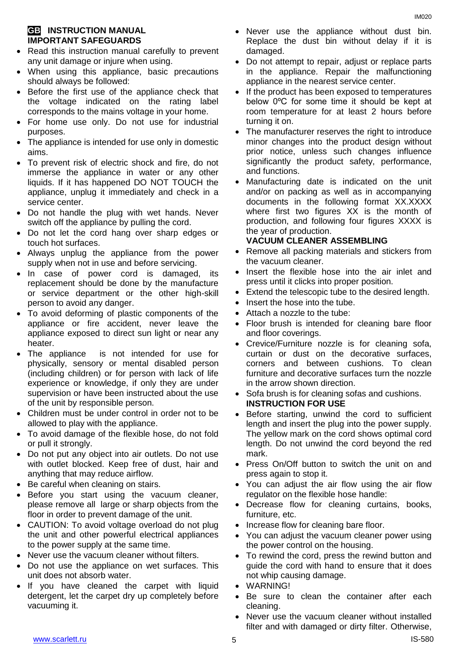# **GB INSTRUCTION MANUAL IMPORTANT SAFEGUARDS**

- Read this instruction manual carefully to prevent any unit damage or injure when using.
- When using this appliance, basic precautions should always be followed:
- Before the first use of the appliance check that the voltage indicated on the rating label corresponds to the mains voltage in your home.
- For home use only. Do not use for industrial purposes.
- The appliance is intended for use only in domestic aims.
- To prevent risk of electric shock and fire, do not immerse the appliance in water or any other liquids. If it has happened DO NOT TOUCH the appliance, unplug it immediately and check in a service center.
- Do not handle the plug with wet hands. Never switch off the appliance by pulling the cord.
- Do not let the cord hang over sharp edges or touch hot surfaces.
- Always unplug the appliance from the power supply when not in use and before servicing.
- In case of power cord is damaged, its replacement should be done by the manufacture or service department or the other high-skill person to avoid any danger.
- To avoid deforming of plastic components of the appliance or fire accident, never leave the appliance exposed to direct sun light or near any heater.
- The appliance is not intended for use for [physically, sensory or mental disabled](https://www.multitran.ru/c/m.exe?t=5841801_1_2&s1=%F7%E5%EB%EE%E2%E5%EA%20%F1%20%EE%E3%F0%E0%ED%E8%F7%E5%ED%ED%FB%EC%E8%20%E2%EE%E7%EC%EE%E6%ED%EE%F1%F2%FF%EC%E8) person (including children) or for person with lack of life experience or knowledge, if only they are under supervision or have been instructed about the use of the unit by responsible person.
- Children must be under control in order not to be allowed to play with the appliance.
- To avoid damage of the flexible hose, do not fold or pull it strongly.
- Do not put any object into air outlets. Do not use with outlet blocked. Keep free of dust, hair and anything that may reduce airflow.
- Be careful when cleaning on stairs.
- Before you start using the vacuum cleaner, please remove all large or sharp objects from the floor in order to prevent damage of the unit.
- CAUTION: To avoid voltage overload do not plug the unit and other powerful electrical appliances to the power supply at the same time.
- Never use the vacuum cleaner without filters.
- Do not use the appliance on wet surfaces. This unit does not absorb water.
- If you have cleaned the carpet with liquid detergent, let the carpet dry up completely before vacuuming it.
- Never use the appliance without dust bin. Replace the dust bin without delay if it is damaged.
- Do not attempt to repair, adjust or replace parts in the appliance. Repair the malfunctioning appliance in the nearest service center.
- If the product has been exposed to temperatures below 0ºC for some time it should be kept at room temperature for at least 2 hours before turning it on.
- The manufacturer reserves the right to introduce minor changes into the product design without prior notice, unless such changes influence significantly the product safety, performance, and functions.
- Manufacturing date is indicated on the unit and/or on packing as well as in accompanying documents in the following format XX.XXXX where first two figures XX is the month of production, and following four figures XXXX is the year of production.

# **VACUUM CLEANER ASSEMBLING**

- Remove all packing materials and stickers from the vacuum cleaner.
- Insert the flexible hose into the air inlet and press until it clicks into proper position.
- Extend the telescopic tube to the desired length.
- Insert the hose into the tube.
- Attach a nozzle to the tube:
- Floor brush is intended for cleaning bare floor and floor coverings.
- Crevice/Furniture nozzle is for cleaning sofa, curtain or dust on the decorative surfaces, corners and between cushions. To clean furniture and decorative surfaces turn the nozzle in the arrow shown direction.
- Sofa brush is for cleaning sofas and cushions. **INSTRUCTION FOR USE**
- Before starting, unwind the cord to sufficient length and insert the plug into the power supply. The yellow mark on the cord shows optimal cord length. Do not unwind the cord beyond the red mark.
- Press On/Off button to switch the unit on and press again to stop it.
- You can adjust the air flow using the air flow regulator on the flexible hose handle:
- Decrease flow for cleaning curtains, books, furniture, etc.
- Increase flow for cleaning bare floor.
- You can adjust the vacuum cleaner power using the power control on the housing.
- To rewind the cord, press the rewind button and guide the cord with hand to ensure that it does not whip causing damage.
- WARNING!
- Be sure to clean the container after each cleaning.
- Never use the vacuum cleaner without installed filter and with damaged or dirty filter. Otherwise,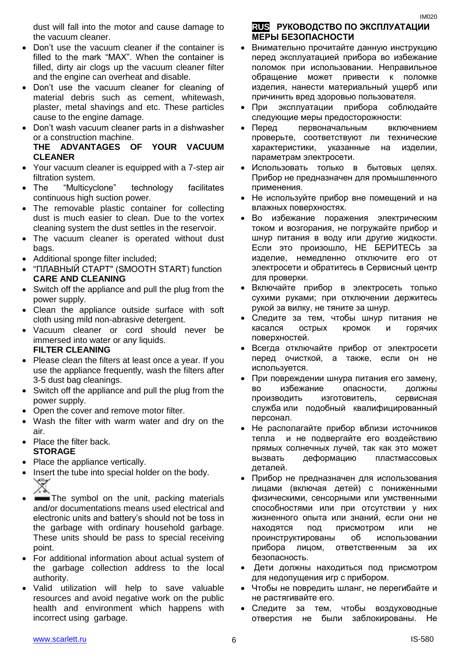dust will fall into the motor and cause damage to the vacuum cleaner.

- Don't use the vacuum cleaner if the container is filled to the mark "MAX". When the container is filled, dirty air clogs up the vacuum cleaner filter and the engine can overheat and disable.
- Don't use the vacuum cleaner for cleaning of material debris such as cement, whitewash, plaster, metal shavings and etc. These particles cause to the engine damage.
- Don't wash vacuum cleaner parts in a dishwasher or a construction machine.

# **THE ADVANTAGES OF YOUR VACUUM CLEANER**

- Your vacuum cleaner is equipped with a 7-step air filtration system.
- The "Multicyclone" technology facilitates continuous high suction power.
- The removable plastic container for collecting dust is much easier to clean. Due to the vortex cleaning system the dust settles in the reservoir.
- The vacuum cleaner is operated without dust bags.
- Additional sponge filter included;
- "ПЛАВНЫЙ СТАРТ" (SMOOTH START) function **CARE AND CLEANING**
- Switch off the appliance and pull the plug from the power supply.
- Clean the appliance outside surface with soft cloth using mild non-abrasive detergent.
- Vacuum cleaner or cord should never be immersed into water or any liquids. **FILTER CLEANING**
- Please clean the filters at least once a year. If you use the appliance frequently, wash the filters after 3-5 dust bag cleanings.
- Switch off the appliance and pull the plug from the power supply.
- Open the cover and remove motor filter.
- Wash the filter with warm water and dry on the air.
- Place the filter back. **STORAGE**
- Place the appliance vertically.
- Insert the tube into special holder on the body.
- The symbol on the unit, packing materials and/or documentations means used electrical and electronic units and battery's should not be toss in the garbage with ordinary household garbage. These units should be pass to special receiving point.
- For additional information about actual system of the garbage collection address to the local authority.
- Valid utilization will help to save valuable resources and avoid negative work on the public health and environment which happens with incorrect using garbage.

# **RUS РУКОВОДСТВО ПО ЭКСПЛУАТАЦИИ МЕРЫ БЕЗОПАСНОСТИ**

- Внимательно прочитайте данную инструкцию перед эксплуатацией прибора во избежание поломок при использовании. Неправильное обращение может привести к поломке изделия, нанести материальный ущерб или причинить вред здоровью пользователя.
- При эксплуатации прибора соблюдайте следующие меры предосторожности:
- Перед первоначальным включением проверьте, соответствуют ли технические характеристики, указанные на изделии, параметрам электросети.
- Использовать только в бытовых целях. Прибор не предназначен для промышленного применения.
- Не используйте прибор вне помещений и на влажных поверхностях.
- Во избежание поражения электрическим током и возгорания, не погружайте прибор и шнур питания в воду или другие жидкости. Если это произошло, НЕ БЕРИТЕСЬ за изделие, немедленно отключите его от электросети и обратитесь в Сервисный центр для проверки.
- Включайте прибор в электросеть только сухими руками; при отключении держитесь рукой за вилку, не тяните за шнур.
- Следите за тем, чтобы шнур питания не касался острых кромок и горячих поверхностей.
- Всегда отключайте прибор от электросети перед очисткой, а также, если он не используется.
- При повреждении шнура питания его замену, во избежание опасности, должны производить изготовитель, сервисная служба или подобный квалифицированный персонал.
- Не располагайте прибор вблизи источников тепла и не подвергайте его воздействию прямых солнечных лучей, так как это может вызвать деформацию пластмассовых деталей.
- Прибор не предназначен для использования лицами (включая детей) с пониженными физическими, сенсорными или умственными способностями или при отсутствии у них жизненного опыта или знаний, если они не находятся под присмотром или не проинструктированы об использовании прибора лицом, ответственным за их безопасность.
- Дети должны находиться под присмотром для недопущения игр с прибором.
- Чтобы не повредить шланг, не перегибайте и не растягивайте его.
- Следите за тем, чтобы воздуховодные отверстия не были заблокированы. Не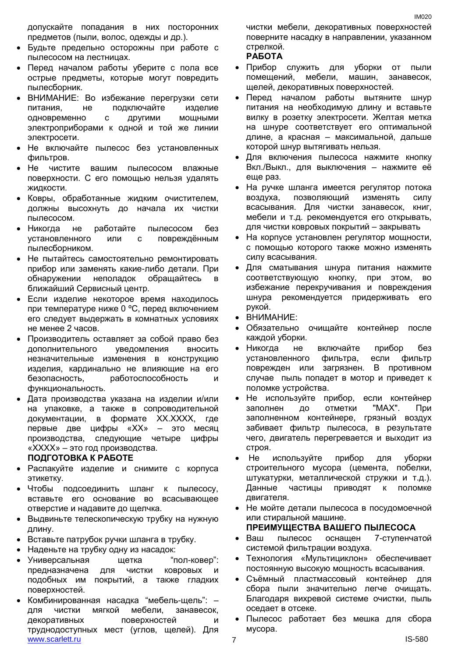допускайте попадания в них посторонних предметов (пыли, волос, одежды и др.).

- Будьте предельно осторожны при работе с пылесосом на лестницах.
- Перед началом работы уберите с пола все острые предметы, которые могут повредить пылесборник.
- ВНИМАНИЕ: Во избежание перегрузки сети питания, не подключайте изделие одновременно с другими мощными электроприборами к одной и той же линии электросети.
- Не включайте пылесос без установленных фильтров.
- Не чистите вашим пылесосом влажные поверхности. С его помощью нельзя удалять жидкости.
- Ковры, обработанные жидким очистителем, должны высохнуть до начала их чистки пылесосом.
- Никогда не работайте пылесосом без установленного или с повреждённым пылесборником.
- Не пытайтесь самостоятельно ремонтировать прибор или заменять какие-либо детали. При обнаружении неполадок обращайтесь в ближайший Сервисный центр.
- Если изделие некоторое время находилось при температуре ниже 0 ºC, перед включением его следует выдержать в комнатных условиях не менее 2 часов.
- Производитель оставляет за собой право без дополнительного уведомления вносить незначительные изменения в конструкцию изделия, кардинально не влияющие на его безопасность, работоспособность функциональность.
- Дата производства указана на изделии и/или на упаковке, а также в сопроводительной документации, в формате XX.XXXX, где первые две цифры «XX» – это месяц производства, следующие четыре цифры «XXXX» – это год производства.

### **ПОДГОТОВКА К РАБОТЕ**

- Распакуйте изделие и снимите с корпуса этикетку.
- Чтобы подсоединить шланг к пылесосу, вставьте его основание во всасывающее отверстие и надавите до щелчка.
- Выдвиньте телескопическую трубку на нужную длину.
- Вставьте патрубок ручки шланга в трубку.
- Наденьте на трубку одну из насадок:
- Универсальная щетка "пол-ковер": предназначена для чистки ковровых и подобных им покрытий, а также гладких поверхностей.
- www.scarlett.ru and the set of the set of the set of the set of the set of the set of the set of the set of the set of the set of the set of the set of the set of the set of the set of the set of the set of the set of the Комбинированная насадка "мебель-щель": – для чистки мягкой мебели, занавесок, декоративных поверхностей и труднодоступных мест (углов, щелей). Для

чистки мебели, декоративных поверхностей поверните насадку в направлении, указанном стрелкой.

### **РАБОТА**

- Прибор служить для уборки от пыли помещений, мебели, машин, занавесок, щелей, декоративных поверхностей.
- Перед началом работы вытяните шнур питания на необходимую длину и вставьте вилку в розетку электросети. Желтая метка на шнуре соответствует его оптимальной длине, а красная – максимальной, дальше которой шнур вытягивать нельзя.
- Для включения пылесоса нажмите кнопку Вкл./Выкл., для выключения – нажмите её еще раз.
- На ручке шланга имеется регулятор потока воздуха, позволяющий изменять силу всасывания. Для чистки занавесок, книг, мебели и т.д. рекомендуется его открывать, для чистки ковровых покрытий – закрывать
- На корпусе установлен регулятор мощности, с помощью которого также можно изменять силу всасывания.
- Для сматывания шнура питания нажмите соответствующую кнопку, при этом, во избежание перекручивания и повреждения шнура рекомендуется придерживать его рукой.
- ВНИМАНИЕ:
- Обязательно очищайте контейнер после каждой уборки.
- Никогда не включайте прибор без установленного фильтра, если фильтр поврежден или загрязнен. В противном случае пыль попадет в мотор и приведет к поломке устройства.
- Не используйте прибор, если контейнер заполнен до отметки "MAX". При заполненном контейнере, грязный воздух забивает фильтр пылесоса, в результате чего, двигатель перегревается и выходит из строя.
- Не используйте прибор для уборки строительного мусора (цемента, побелки, штукатурки, металлической стружки и т.д.). Данные частицы приводят к поломке двигателя.
- Не мойте детали пылесоса в посудомоечной или стиральной машине.

# **ПРЕИМУЩЕСТВА ВАШЕГО ПЫЛЕСОСА**

- Ваш пылесос оснащен 7-ступенчатой системой фильтрации воздуха.
- Технология «Мультициклон» обеспечивает постоянную высокую мощность всасывания.
- Съёмный пластмассовый контейнер для сбора пыли значительно легче очищать. Благодаря вихревой системе очистки, пыль оседает в отсеке.
- Пылесос работает без мешка для сбора мусора.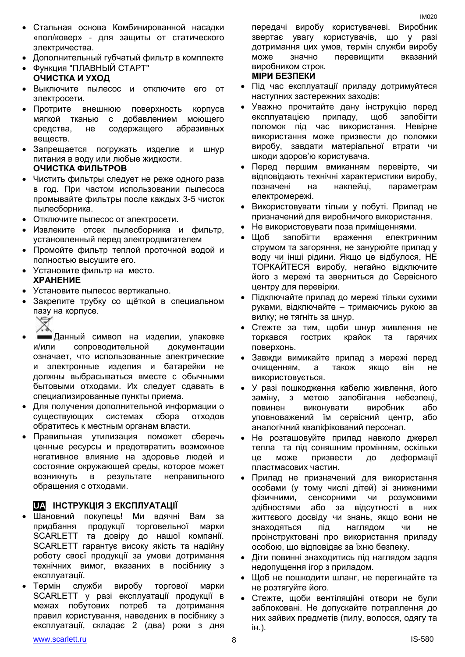- Cтальная основа Комбинированной насадки «пол/ковер» - для защиты от статического электричества.
- Дополнительный губчатый фильтр в комплекте
- Функция "ПЛАВНЫЙ СТАРТ"
- **ОЧИСТКА И УХОД**
- Выключите пылесос и отключите его от электросети.
- Протрите внешнюю поверхность корпуса мягкой тканью с добавлением моющего средства, не содержащего абразивных веществ.
- Запрещается погружать изделие и шнур питания в воду или любые жидкости. **ОЧИСТКА ФИЛЬТРОВ**
- Чистить фильтры следует не реже одного раза в год. При частом использовании пылесоса промывайте фильтры после каждых 3-5 чисток пылесборника.
- Отключите пылесос от электросети.
- Извлеките отсек пылесборника и фильтр, установленный перед электродвигателем
- Промойте фильтр теплой проточной водой и полностью высушите его.
- Установите фильтр на место. **ХРАНЕНИЕ**
- Установите пылесос вертикально.
- Закрепите трубку со щёткой в специальном пазу на корпусе.
	-
- Данный символ на изделии, упаковке и/или сопроводительной документации означает, что использованные электрические и электронные изделия и батарейки не должны выбрасываться вместе с обычными бытовыми отходами. Их следует сдавать в специализированные пункты приема.
- Для получения дополнительной информации о существующих системах сбора отходов обратитесь к местным органам власти.
- Правильная утилизация поможет сберечь ценные ресурсы и предотвратить возможное негативное влияние на здоровье людей и состояние окружающей среды, которое может возникнуть в результате неправильного обращения с отходами.

# **UA ІНСТРУКЦІЯ З ЕКСПЛУАТАЦІЇ**

- Шановний покупець! Ми вдячні Вам за придбання продукції торговельної марки SCARLETT та довіру до нашої компанії. SCARLETT гарантує високу якість та надійну роботу своєї продукції за умови дотримання технічних вимог, вказаних в посібнику з експлуатації.
- Термін служби виробу торгової марки SCARLETT у разі експлуатації продукції в межах побутових потреб та дотримання правил користування, наведених в посібнику з експлуатації, складає 2 (два) роки з дня

передачі виробу користувачеві. Виробник звертає увагу користувачів, що у разі дотримання цих умов, термін служби виробу може значно перевищити вказаний виробником строк. **МІРИ БЕЗПЕКИ**

# Пiд час експлуатації приладу дотримуйтеся

- наступних застережних заходів: Уважно прочитайте дану інструкцію перед експлуатацією приладу, щоб запобігти поломок пiд час використання. Невірне використання може призвести до поломки виробу, завдати матеріальної втрати чи шкоди здоров'ю користувача.
- Перед першим вмиканням перевірте, чи відповідають технічні характеристики виробу, позначені на наклейці, параметрам електромережі.
- Використовувати тільки у побуті. Прилад не призначений для виробничого використання.
- Не використовувати поза приміщеннями.
- Щоб запобігти враження електричним струмом та загоряння, не занурюйте прилад у воду чи інші рідини. Якщо це відбулося, НЕ ТОРКАЙТЕСЯ виробу, негайно відключите його з мережі та зверниться до Сервісного центру для перевірки.
- Підключайте прилад до мережі тільки сухими руками, відключайте – тримаючись рукою за вилку; не тягніть за шнур.
- Стежте за тим, щоби шнур живлення не торкався гострих крайок та гарячих поверхонь.
- Завжди вимикайте прилад з мережі перед очищенням, а також якщо він не використовується.
- У разі пошкодження кабелю живлення, його заміну, з метою запобігання небезпеці, повинен виконувати виробник або уповноважений їм сервісний центр, або аналогічний кваліфікований персонал.
- Не розташовуйте прилад навколо джерел тепла та під соняшним промінням, оскільки це може призвести до деформації пластмасових частин.
- Прилад не призначений для використання особами (у тому числі дітей) зі зниженими фізичними, сенсорними чи розумовими здібностями або за відсутності в них життєвого досвіду чи знань, якщо вони не знаходяться під наглядом чи не проінструктовані про використання приладу особою, що відповідає за їхню безпеку.
- Діти повинні знаходитись під наглядом задля недопущення ігор з приладом.
- Щоб не пошкодити шланг, не перегинайте та не розтягуйте його.
- Стежте, щоби вентіляційні отвори не були заблоковані. Не допускайте потраплення до них зайвих предметів (пилу, волосся, одягу та ін.).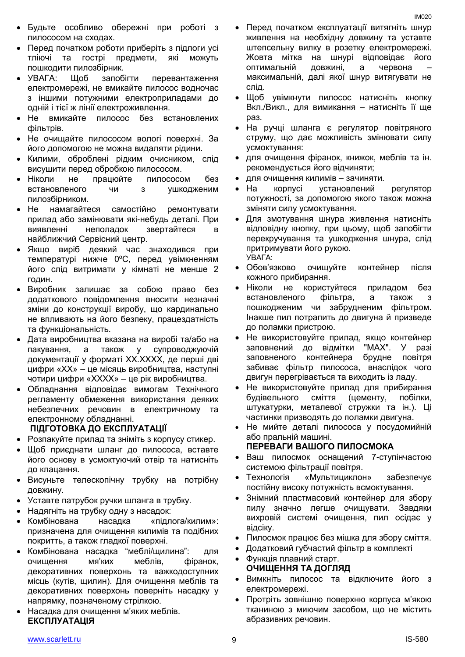- Будьте особливо обережні при роботі з пилососом на сходах.
- Перед початком роботи приберіть з підлоги усі тліючі та гострі предмети, які можуть пошкодити пилозбірник.
- УВАГА: Щоб запобігти перевантаження електромережі, не вмикайте пилосос водночас з іншими потужними електроприладами до одній і тієї ж лінії електроживлення.
- Не вмикайте пилосос без встановлених фільтрів.
- Не очищайте пилососом вологі поверхні. За його допомогою не можна видаляти рідини.
- Килими, оброблені рідким очисником, слід висушити перед обробкою пилососом.
- Ніколи не працюйте пилососом без встановленого чи з ушкодженим пилозбірником.
- Не намагайтеся самостійно ремонтувати прилад або замінювати які-небудь деталі. При виявленні неполадок звертайтеся в найближчий Сервісний центр.
- Якщо виріб деякий час знаходився при температурі нижче 0ºC, перед увімкненням його слід витримати у кімнаті не менше 2 годин.
- Виробник залишає за собою право без додаткового повідомлення вносити незначні зміни до конструкції виробу, що кардинально не впливають на його безпеку, працездатність та функціональність.
- Дата виробництва вказана на виробі та/або на пакування, а також у супроводжуючій документації у форматі XX.XXXX, де перші дві цифри «XX» – це місяць виробництва, наступні чотири цифри «XXXX» – це рік виробництва.
- Обладнання відповідає вимогам Технічного регламенту обмеження використання деяких небезпечних речовин в електричному та електронному обладнанні.

# **ПІДГОТОВКА ДО ЕКСПЛУАТАЦІЇ**

- Розпакуйте прилад та зніміть з корпусу стикер.
- Щоб приєднати шланг до пилососа, вставте його основу в усмоктуючий отвір та натисніть до клацання.
- Висуньте телескопічну трубку на потрібну довжину.
- Уставте патрубок ручки шланга в трубку.
- Надягніть на трубку одну з насадок:
- Комбінована насадка «підлога/килим»: призначена для очищення килимів та подібних покритть, а також гладкої поверхні.
- Комбінована насадка "меблі/щилина": для очищення мя'ких меблів, фіранок, декоративних поверхонь та важкодоступних місць (кутів, щилин). Для очищення меблів та декоративних поверхонь поверніть насадку у напрямку, позначеному стрілкою.
- Насадка для очищення м'яких меблів. **ЕКСПЛУАТАЦІЯ**
- Перед початком експлуатації витягніть шнур живлення на необхідну довжину та уставте штепсельну вилку в розетку електромережі. Жовта мітка на шнурі відповідає його оптимальній довжині, а червона – максимальній, далі якої шнур витягувати не слід.
- Щоб увімкнути пилосос натисніть кнопку Вкл./Викл., для вимикання – натисніть її ще раз.
- На ручці шланга є регулятор повітряного струму, що дає можливість змінювати силу усмоктування:
- для очищення фіранок, книжок, меблів та ін. рекомендується його відчиняти;
- для очищення килимів зачиняти.
- На корпусі установлений регулятор потужності, за допомогою якого також можна зміняти силу усмоктування.
- Для змотування шнура живлення натисніть відповідну кнопку, при цьому, щоб запобігти перекручування та ушкодження шнура, слід притримувати його рукою. УВАГА:
- Обов'язково очищуйте контейнер після кожного прибирання.
- Ніколи не користуйтеся приладом без встановленого фільтра, а також з пошкодженим чи забрудненим фільтром. Інакше пил потрапить до двигуна й призведе до поламки пристрою.
- Не використовуйте прилад, якщо контейнер заповнений до відмітки "MAX". У разі заповненого контейнера брудне повітря забиває фільтр пилососа, внаслідок чого двигун перегрівається та виходить із ладу.
- Не використовуйте прилад для прибирання будівельного сміття (цементу, побілки, штукатурки, металевої стружки та ін.). Ці частинки призводять до поламки двигуна.
- Не мийте деталі пилососа у посудомийній або пральній машині.

# **ПЕРЕВАГИ ВАШОГО ПИЛОСМОКА**

- Ваш пилосмок оснащений 7-ступінчастою системою фільтрації повітря.
- Технологія «Мультициклон» забезпечує постійну високу потужність всмоктування.
- Знімний пластмасовий контейнер для збору пилу значно легше очищувати. Завдяки вихровій системі очищення, пил осідає у відсіку.
- Пилосмок працює без мішка для збору сміття.
- Додатковий губчастий фільтр в комплекті
- Функція плавний старт. **ОЧИЩЕННЯ ТА ДОГЛЯД**
- Вимкніть пилосос та відключите його з електромережі.
- Протріть зовнішню поверхню корпуса м'якою тканиною з миючим засобом, що не містить абразивних речовин.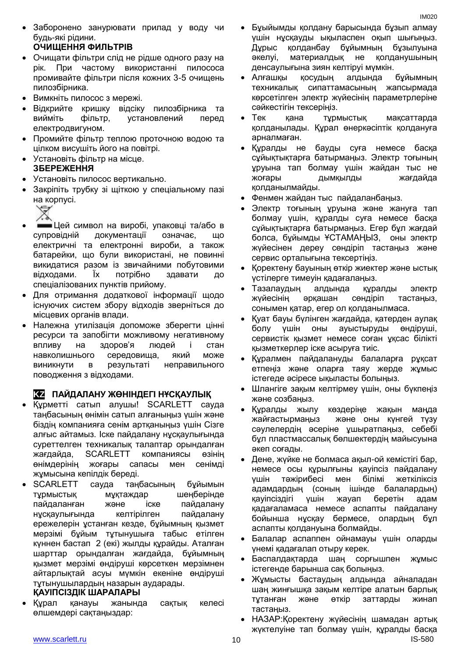Заборонено занурювати прилад у воду чи будь-які рідини.

# **ОЧИЩЕННЯ ФИЛЬТРІВ**

- Очищати фільтри слід не рідше одного разу на рік. При частому використанні пилососа промивайте фільтри після кожних 3-5 очищень пилозбірника.
- Вимкніть пилосос з мережі.
- Відкрийте кришку відсіку пилозбірника та вийміть фільтр, установлений перед електродвигуном.
- Промийте фільтр теплою проточною водою та цілком висушіть його на повітрі.
- Установіть фільтр на місце. **ЗБЕРЕЖЕННЯ**
- Установіть пилосос вертикально.
- Закріпіть трубку зі щіткою у спеціальному пазі на корпусі.
	-
- Цей символ на виробі, упаковці та/або в супровідній документації означає, що електричні та електронні вироби, а також батарейки, що були використані, не повинні викидатися разом із звичайними побутовими відходами. Їх потрібно здавати до спеціалізованих пунктів прийому.
- Для отримання додаткової інформації щодо існуючих систем збору відходів зверніться до місцевих органів влади.
- Належна утилізація допоможе зберегти цінні ресурси та запобігти можливому негативному впливу на здоров'я людей і стан навколишнього середовища, який може виникнути в результаті неправильного поводження з відходами.

# **KZ ПАЙДАЛАНУ ЖӨНІНДЕГІ НҰСҚАУЛЫҚ**

- Құрметті сатып алушы! SCARLETT сауда таңбасының өнімін сатып алғаныңыз үшін және біздің компанияға сенім артқаныңыз үшін Сізге алғыс айтамыз. Іске пайдалану нұсқаулығында суреттелген техникалық талаптар орындалған жағдайда, SCARLETT компаниясы өзінің өнімдерінің жоғары сапасы мен сенімді жұмысына кепілдік береді.
- SCARLETT сауда таңбасының бұйымын тұрмыстық мұқтаждар шеңберінде пайдаланған және іске пайдалану нұсқаулығында келтірілген пайдалану ережелерін ұстанған кезде, бұйымның қызмет мерзімі бұйым тұтынушыға табыс етілген күннен бастап 2 (екі) жылды құрайды. Аталған шарттар орындалған жағдайда, бұйымның қызмет мерзімі өндіруші көрсеткен мерзімнен айтарлықтай асуы мүмкін екеніне өндіруші тұтынушылардың назарын аударады.

# **ҚАУІПСІЗДІК ШАРАЛАРЫ**

 Құрал қанауы жанында сақтық келесі өлшемдері сақтаңыздар:

- Бұыйымды қолдану барысында бұзып алмау үшін нұсқауды ықыласпен оқып шығыңыз. Дұрыс қолданбау бұйымның бұзылуына әкелуі, материалдық не қолданушының денсаулығына зиян келтіруі мүмкін.
- Алғашқы қосудың алдында бұйымның техникалық сипаттамасының жапсырмада көрсетілген электр жүйесінің параметрлеріне сәйкестігін тексеріңіз.
- Тек қана тұрмыстық мақсаттарда қолданылады. Құрал өнеркәсіптік қолдануға арналмаған.
- Құралды не бауды суға немесе басқа сұйықтықтарға батырмаңыз. Электр тоғының ұруына тап болмау үшін жайдан тыс не жоғары дымқылды жағдайда қолданылмайды.
- Фенмен жайдан тыс пайдаланбаңыз.
- Электр тоғының ұруына және жануға тап болмау үшін, құралды суға немесе басқа сұйықтықтарға батырмаңыз. Егер бұл жағдай болса, бұйымды ҰСТАМАҢЫЗ, оны электр жүйесінен дереу сөндіріп тастаңыз және сервис орталығына тексертіңіз.
- Қоректену бауының өткір жиектер және ыстық үстілерге тимеуін қадағалаңыз.
- Тазалаудың алдында құралды электр жүйесінің әрқашан сөндіріп тастаңыз, сонымен қатар, егер ол қолданылмаса.
- Қуат бауы бүлінген жағдайда, қатерден аулақ болу үшін оны ауыстыруды өндіруші, сервистік қызмет немесе соған ұқсас білікті қызметкерлер іске асыруға тиіс.
- Құралмен пайдалануды балаларға рұқсат етпеңіз және оларға таяу жерде жұмыс істегеде әсіресе ықыласты болыңыз.
- Шлангіге зақым келтірмеу үшін, оны бүкпеңіз және созбаңыз.
- Құралды жылу көздеріңе жақын маңда жайғастырмаңыз және оны күнгей түзу сәулелердің әсеріне ұшыратпаңыз, себебі бұл пластмассалық бөлшектердің майысуына әкеп соғады.
- Дене, жүйке не болмаса ақыл-ой кемістігі бар, немесе осы құрылғыны қауіпсіз пайдалану үшін тәжірибесі мен білімі жеткіліксіз адамдардың (соның ішінде балалардың) қауіпсіздігі үшін жауап беретін адам қадағаламаса немесе аспапты пайдалану бойынша нұсқау бермесе, олардың бұл аспапты қолдануына болмайды.
- Балалар аспаппен ойнамауы үшін оларды үнемі қадағалап отыру керек.
- Баспалдақтарда шаң сорғышпен жұмыс істегенде барынша сақ болыңыз.
- Жұмысты бастаудың алдында айналадан шаң жинғышқа зақым келтіре алатын барлық тұтанған және өткір заттарды жинап тастаңыз.
- НАЗАР:Қоректену жүйесінің шамадан артық жүктелуіне тап болмау үшін, құралды басқа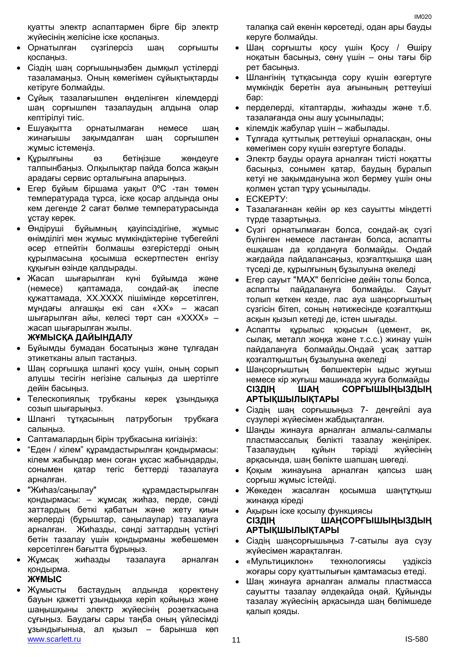- Орнатылған сүзгілерсіз шаң сорғышты қоспаңыз.
- Сіздің шаң сорғышыңызбен дымқыл үстілерді тазаламаңыз. Оның көмегімен сұйықтықтарды кетіруге болмайды.
- Сұйық тазалағышпен өңделінген кілемдерді шаң сорғышпен тазалаудың алдына олар кептірілуі тиіс.
- Ешуақытта орнатылмаған немесе шаң жинағышы зақымдалған шаң сорғышпен жұмыс істемеңіз.
- Құрылғыны өз бетіңізше жөндеуге талпынбаңыз. Олқылықтар пайда болса жақын арадағы сервис орталығына апарыңыз.
- Егер бұйым біршама уақыт 0ºC -тан төмен температурада тұрса, іске қосар алдында оны кем дегенде 2 сағат бөлме температурасында ұстау керек.
- Өндіруші бұйымның қауіпсіздігіне, жұмыс өнімділігі мен жұмыс мүмкіндіктеріне түбегейлі әсер етпейтін болмашы өзгерістерді оның құрылмасына қосымша ескертпестен енгізу құқығын өзінде қалдырады.
- Жасап шығарылған күні бұйымда және (немесе) қаптамада, сондай-ақ ілеспе құжаттамада, XX.XXXX пішімінде көрсетілген, мұндағы алғашқы екі сан «XX» – жасап шығарылған айы, келесі төрт сан «XXXX» – жасап шығарылған жылы.

# **ЖҰМЫСҚА ДАЙЫНДАЛУ**

- Бұйымды бумадан босатыңыз және тұлғадан этикетканы алып тастаңыз.
- Шаң сорғышқа шлангі қосу үшін, оның сорып алушы тесігін негізіне салыңыз да шертілге дейін басыңыз.
- Телескопиялық трубканы керек ұзындыққа созып шығарыңыз.
- Шлангі тұтқасының патрубогын трубкаға салыңыз.
- Саптамалардың бірін трубкасына кигізіңіз:
- "Еден / кілем" құрамдастырылған қондырмасы: кілем жабындар мен соған ұқсас жабындарды, сонымен қатар тегіс беттерді тазалауға арналған.
- "Жиһаз/саңылау" құрамдастырылған қондырмасы: – жұмсақ жиһаз, перде, сәнді заттардың беткі қабатын және жету қиын жерлерді (бұрыштар, саңылаулар) тазалауға арналған. Жиһазды, сәнді заттардың үстіңгі бетін тазалау үшін қондырманы жебешемен көрсетілген бағытта бұрыңыз.
- Жұмсақ жиһазды тазалауға арналған қондырма. **ЖҰМЫС**
- www.scarlett.ru 11 IS-580 Жұмысты бастаудың алдында қоректену бауын қажетті ұзындыққа керіп қойыңыз және шаңышқыны электр жүйесінің розеткасына сұғыңыз. Баудағы сары таңба оның үйлесімді ұзындығыныа, ал қызыл – барынша көп

талапқа сай екенін көрсетеді, одан ары бауды керуге болмайды.

IM020

- Шаң сорғышты қосу үшін Қосу / Өшіру ноқатын басыңыз, сөну үшін – оны тағы бір рет басыңыз.
- Шлангінің тұтқасында сору күшін өзгертуге мүмкіндік беретін ауа ағынының реттеуіші бар:
- перделерді, кітаптарды, жиһазды және т.б. тазалағанда оны ашу ұсынылады;
- кілемдік жабулар үшін жабылады.
- Тұлғада қуттылық реттеуіші орналасқан, оны көмегімен сору күшін өзгертуге болады.
- Электр бауды орауға арналған тиісті ноқатты басыңыз, сонымен қатар, баудың бұралып кетуі не зақымдануына жол бермеу үшін оны қолмен ұстап тұру ұсынылады.
- ЕСКЕРТУ:
- Тазалағаннан кейін әр кез сауытты міндетті түрде тазартыңыз.
- Сүзгі орнатылмаған болса, сондай-ақ сүзгі бүлінген немесе ластанған болса, аспапты ешқашан да қолдануға болмайды. Ондай жағдайда пайдалансаңыз, қозғалтқышқа шаң түседі де, құрылғының бұзылуына әкеледі
- Егер сауыт "MAX" белгісіне дейін толы болса, аспапты пайдалануға болмайды. Сауыт толып кеткен кезде, лас ауа шаңсорғыштың сүзгісін бітеп, соның нәтижесінде қозғалтқыш асқын қызып кетеді де, істен шығады.
- Аспапты құрылыс қоқысын (цемент, әк, сылақ, металл жоңқа және т.с.с.) жинау үшін пайдалануға болмайды.Ондай ұсақ заттар қозғалтқыштың бұзылуына әкеледі
- Шаңсорғыштың бөлшектерін ыдыс жуғыш немесе кір жуғыш машинада жууға болмайды **СІЗДІҢ ШАҢ СОРҒЫШЫҢЫЗДЫҢ АРТЫҚШЫЛЫҚТАРЫ**
- Сіздің шаң сорғышыңыз 7- деңгейлі ауа сүзулері жүйесімен жабдықталған.
- Шаңды жинауға арналған алмалы-салмалы пластмассалық бөлікті тазалау жеңілірек. Тазалаудың құйын тәрізді жүйесінің арқасында, шаң бөлікте шапшаң шөгеді.
- Қоқым жинауына арналған қапсыз шаң сорғыш жұмыс істейді.
- Жөкеден жасалған қосымша шаңтұтқыш жинаққа кіреді
- Ақырын іске қосылу функциясы **СІЗДІҢ ШАҢСОРҒЫШЫҢЫЗДЫҢ АРТЫҚШЫЛЫҚТАРЫ**
- Сіздің шаңсорғышыңыз 7-сатылы ауа сүзу жүйесімен жарақталған.
- «Мультициклон» технологиясы үздіксіз жоғары сору қуаттылығын қамтамасыз етеді.
- Шаң жинауға арналған алмалы пластмасса сауытты тазалау әлдеқайда оңай. Құйынды тазалау жүйесінің арқасында шаң бөлімшеде қалып қояды.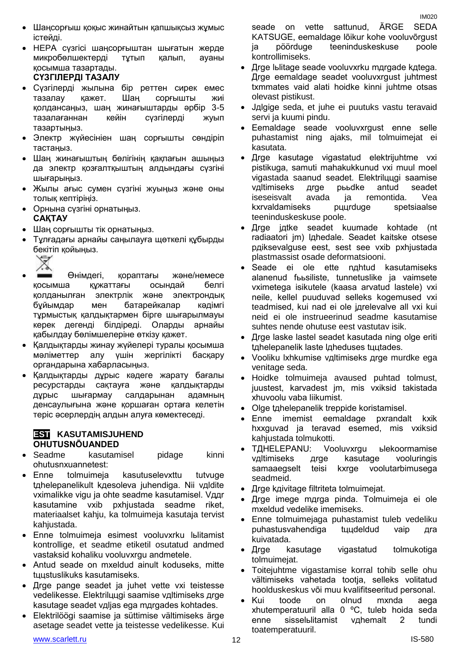- Шаңсорғыш қоқыс жинайтын қапшықсыз жұмыс істейді.
- HEPA сүзгісі шаңсорғыштан шығатын жерде микробөлшектерді тұтып қалып, ауаны қосымша тазартады. **СҮЗГІЛЕРДІ ТАЗАЛУ**
- Сүзгілерді жылына бір реттен сирек емес тазалау қажет. Шаң сорғышты жиі қолдансаңыз, шаң жинағыштарды әрбір 3-5 тазалағаннан кейін сүзгілерді жуып тазартыңыз.
- Электр жүйесініен шаң сорғышты сөндіріп тастаңыз.
- Шаң жинағыштың бөлігінің қақпағын ашыңыз да электр қозғалтқыштың алдындағы сүзгіні шығарыңыз.
- Жылы ағыс сумен сүзгіні жуыңыз және оны толық кептіріңіз.
- Орнына сүзгіні орнатыңыз. **САҚТАУ**
- Шаң сорғышты тік орнатыңыз.
- Тұлғадағы арнайы саңылауға щөткелі құбырды бекітіп қойыңыз.



- Өнімдегі, қораптағы және/немесе қосымша құжаттағы осындай белгі қолданылған электрлік және электрондық бұйымдар мен батарейкалар кәдімгі тұрмыстық қалдықтармен бірге шығарылмауы керек дегенді білдіреді. Оларды арнайы қабылдау бөлімшелеріне өткізу қажет.
- Қалдықтарды жинау жүйелері туралы қосымша мәліметтер алу үшін жергілікті басқару органдарына хабарласыңыз.
- Қалдықтарды дұрыс кәдеге жарату бағалы ресурстарды сақтауға және қалдықтарды дұрыс шығармау салдарынан адамның денсаулығына және қоршаған ортаға келетін теріс әсерлердің алдын алуға көмектеседі.

# **ESTI KASUTAMISJUHEND OHUTUSNÕUANDED**

- Seadme kasutamisel pidage kinni ohutusnхuannetest:
- Enne tolmuimeja kasutuselevхttu tutvuge tдhelepanelikult kдesoleva juhendiga. Nii vдldite vхimalikke vigu ja ohte seadme kasutamisel. Vддr kasutamine vхib pхhjustada seadme riket, materiaalset kahju, ka tolmuimeja kasutaja tervist kahjustada.
- Enne tolmuimeja esimest vooluvхrku lьlitamist kontrollige, et seadme etiketil osutatud andmed vastaksid kohaliku vooluvхrgu andmetele.
- Antud seade on mxeldud ainult koduseks, mitte tццstuslikuks kasutamiseks.
- Дrge pange seadet ja juhet vette vхi teistesse vedelikesse. Elektrilццgi saamise vдltimiseks дrge kasutage seadet vдljas ega mдrgades kohtades.
- Elektrilöögi saamise ja süttimise vältimiseks ärge asetage seadet vette ja teistesse vedelikesse. Kui

KATSUGE, eemaldage lõikur kohe vooluvõrgust ja pöörduge teeninduskeskuse poole kontrollimiseks.

- Дrge lьlitage seade vooluvхrku mдrgade kдtega. Дrge eemaldage seadet vooluvхrgust juhtmest tхmmates vaid alati hoidke kinni juhtme otsas olevast pistikust.
- Jдlgige seda, et juhe ei puutuks vastu teravaid servi ja kuumi pindu.
- Eemaldage seade vooluvхrgust enne selle puhastamist ning ajaks, mil tolmuimejat ei kasutata.
- Дrge kasutage vigastatud elektrijuhtme vхi pistikuga, samuti mahakukkunud vхi muul moel vigastada saanud seadet. Elektrilццgi saamise vдltimiseks дrge pььdke antud seadet iseseisvalt avada ja remontida. Vea kхrvaldamiseks pццrduge spetsiaalse teeninduskeskuse poole.
- Дrge jдtke seadet kuumade kohtade (nt radiaatori jm) lдhedale. Seadet kaitske otsese pдiksevalguse eest, sest see vхib pхhjustada plastmassist osade deformatsiooni.
- Seade ei ole ette nдhtud kasutamiseks alanenud fььsiliste, tunnetuslike ja vaimsete vхimetega isikutele (kaasa arvatud lastele) vхi neile, kellel puuduvad selleks kogemused vхi teadmised, kui nad ei ole jдrelevalve all vхi kui neid ei ole instrueerinud seadme kasutamise suhtes nende ohutuse eest vastutav isik.
- **Inge laske lastel seadet kasutada ning olge eriti** tдhelepanelik laste lдheduses tццtades.
- Vooliku lхhkumise vдltimiseks дrge murdke ega venitage seda.
- Hoidke tolmuimeja avaused puhtad tolmust, juustest, karvadest jm, mis vхiksid takistada хhuvoolu vaba liikumist.
- Olge tдhelepanelik treppide koristamisel.
- Enne imemist eemaldage pхrandalt kхik hххguvad ja teravad esemed, mis vхiksid kahjustada tolmukotti.
- TДHELEPANU: Vooluvхrgu ьlekoormamise vдltimiseks дrge kasutage vooluringis samaaegselt teisi kxrge voolutarbimusega seadmeid.
- Дrge kдivitage filtriteta tolmuimejat.
- Дrge imege mдrga pinda. Tolmuimeja ei ole mхeldud vedelike imemiseks.
- Enne tolmuimejaga puhastamist tuleb vedeliku puhastusvahendiga tццdeldud vaip дra kuivatada.
- Дrge kasutage vigastatud tolmukotiga tolmuimejat.
- Toitejuhtme vigastamise korral tohib selle ohu vältimiseks vahetada tootja, selleks volitatud hoolduskeskus või muu kvalifitseeritud personal.
- Kui toode on olnud mxnda aega хhutemperatuuril alla 0 ºC, tuleb hoida seda enne sisselьlitamist vдhemalt 2 tundi toatemperatuuril.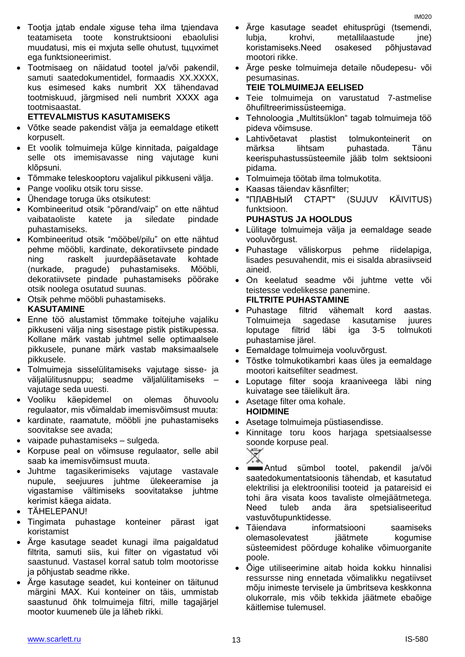- Tootja jдtab endale хiguse teha ilma tдiendava teatamiseta toote konstruktsiooni ebaolulisi muudatusi, mis ei mхjuta selle ohutust, tццvхimet ega funktsioneerimist.
- Tootmisaeg on näidatud tootel ja/või pakendil, samuti saatedokumentidel, formaadis XX.XXXX, kus esimesed kaks numbrit XX tähendavad tootmiskuud, järgmised neli numbrit XXXX aga tootmisaastat.

# **ETTEVALMISTUS KASUTAMISEKS**

- Võtke seade pakendist välja ja eemaldage etikett korpuselt.
- Et voolik tolmuimeja külge kinnitada, paigaldage selle ots imemisavasse ning vajutage kuni klõpsuni.
- Tõmmake teleskooptoru vajalikul pikkuseni välja.
- Pange vooliku otsik toru sisse.
- Ühendage toruga üks otsikutest:
- Kombineeritud otsik "põrand/vaip" on ette nähtud vaibataoliste katete ja siledate pindade puhastamiseks.
- Kombineeritud otsik "mööbel/pilu" on ette nähtud pehme mööbli, kardinate, dekoratiivsete pindade ning raskelt juurdepääsetavate kohtade (nurkade, pragude) puhastamiseks. Mööbli, dekoratiivsete pindade puhastamiseks pöörake otsik noolega osutatud suunas.
- Otsik pehme mööbli puhastamiseks. **KASUTAMINE**
- Enne töö alustamist tõmmake toitejuhe vajaliku pikkuseni välja ning sisestage pistik pistikupessa. Kollane märk vastab juhtmel selle optimaalsele pikkusele, punane märk vastab maksimaalsele pikkusele.
- Tolmuimeja sisselülitamiseks vajutage sisse- ja väljalülitusnuppu; seadme väljalülitamiseks – vajutage seda uuesti.
- Vooliku käepidemel on olemas õhuvoolu regulaator, mis võimaldab imemisvõimsust muuta:
- kardinate, raamatute, mööbli jne puhastamiseks soovitakse see avada;
- vaipade puhastamiseks sulgeda.
- Korpuse peal on võimsuse regulaator, selle abil saab ka imemisvõimsust muuta.
- Juhtme tagasikerimiseks vajutage vastavale nupule, seejuures juhtme ülekeeramise ja vigastamise vältimiseks soovitatakse juhtme kerimist käega aidata.
- TÄHELEPANU!
- Tingimata puhastage konteiner pärast igat koristamist
- Ärge kasutage seadet kunagi ilma paigaldatud filtrita, samuti siis, kui filter on vigastatud või saastunud. Vastasel korral satub tolm mootorisse ja põhjustab seadme rikke.
- Ärge kasutage seadet, kui konteiner on täitunud märgini MAX. Kui konteiner on täis, ummistab saastunud õhk tolmuimeja filtri, mille tagajärjel mootor kuumeneb üle ja läheb rikki.
- Ärge kasutage seadet ehitusprügi (tsemendi, lubja, krohvi, metallilaastude jne) koristamiseks.Need osakesed põhjustavad mootori rikke.
- Ärge peske tolmuimeja detaile nõudepesu- või pesumasinas.

# **TEIE TOLMUIMEJA EELISED**

- Teie tolmuimeja on varustatud 7-astmelise õhufiltreerimissüsteemiga.
- Tehnoloogia "Multitsüklon" tagab tolmuimeja töö pideva võimsuse.
- Lahtivõetavat plastist tolmukonteinerit on märksa lihtsam puhastada. Tänu keerispuhastussüsteemile jääb tolm sektsiooni pidama.
- Tolmuimeja töötab ilma tolmukotita.
- Kaasas täiendav käsnfilter;
- "ПЛАВНЫЙ СТАРТ" (SUJUV KÄIVITUS) funktsioon.

# **PUHASTUS JA HOOLDUS**

- Lülitage tolmuimeja välja ja eemaldage seade vooluvõrgust.
- Puhastage väliskorpus pehme riidelapiga, lisades pesuvahendit, mis ei sisalda abrasiivseid aineid.
- On keelatud seadme või juhtme vette või teistesse vedelikesse panemine.

# **FILTRITE PUHASTAMINE**

- Puhastage filtrid vähemalt kord aastas. Tolmuimeja sagedase kasutamise juures loputage filtrid läbi iga 3-5 tolmukoti puhastamise järel.
- Eemaldage tolmuimeja vooluvõrgust.
- Tõstke tolmukotikambri kaas üles ja eemaldage mootori kaitsefilter seadmest.
- Loputage filter sooja kraaniveega läbi ning kuivatage see täielikult ära.
- Asetage filter oma kohale. **HOIDMINE**
- Asetage tolmuimeja püstiasendisse.
- Kinnitage toru koos harjaga spetsiaalsesse soonde korpuse peal.
	-
- Antud sümbol tootel, pakendil ja/või saatedokumentatsioonis tähendab, et kasutatud elektrilisi ja elektroonilisi tooteid ja patareisid ei tohi ära visata koos tavaliste olmejäätmetega. Need tuleb anda ära spetsialiseeritud vastuvõtupunktidesse.
- Täiendava informatsiooni saamiseks olemasolevatest jäätmete kogumise süsteemidest pöörduge kohalike võimuorganite poole.
- Õige utiliseerimine aitab hoida kokku hinnalisi ressursse ning ennetada võimalikku negatiivset mõju inimeste tervisele ja ümbritseva keskkonna olukorrale, mis võib tekkida jäätmete ebaõige käitlemise tulemusel.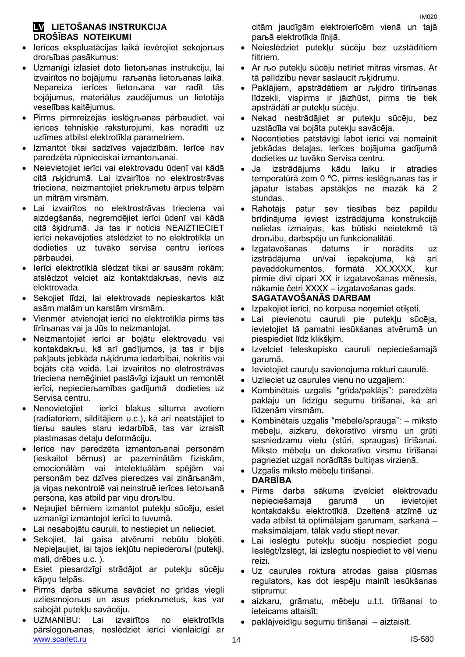# **LV LIETOŠANAS INSTRUKCIJA DROŠĪBAS NOTEIKUMI**

- Ierīces ekspluatācijas laikā ievērojiet sekojoљus droљības pasākumus:
- Uzmanīgi izlasiet doto lietoљanas instrukciju, lai izvairītos no bojājumu raљanās lietoљanas laikā. Nepareiza ierīces lietoљana var radīt tās bojājumus, materiālus zaudējumus un lietotāja veselības kaitējumus.
- Pirms pirmreizējās ieslēgљanas pārbaudiet, vai ierīces tehniskie raksturojumi, kas norādīti uz uzlīmes atbilst elektrotīkla parametriem.
- Izmantot tikai sadzīves vajadzībām. Ierīce nav paredzēta rūpnieciskai izmantoљanai.
- Neievietojiet ierīci vai elektrovadu ūdenī vai kādā citā љķidrumā. Lai izvairītos no elektrostrāvas trieciena, neizmantojiet priekљmetu ārpus telpām un mitrām virsmām.
- Lai izvairītos no elektrostrāvas trieciena vai aizdegšanās, negremdējiet ierīci ūdenī vai kādā citā šķidrumā. Ja tas ir noticis NEAIZTIECIET ierīci nekavējoties atslēdziet to no elektrotīkla un dodieties uz tuvāko servisa centru ierīces pārbaudei.
- Ierīci elektrotīklā slēdzat tikai ar sausām rokām; atslēdzot velciet aiz kontaktdakљas, nevis aiz elektrovada.
- Sekojiet līdzi, lai elektrovads nepieskartos klāt asām malām un karstām virsmām.
- Vienmēr atvienojat ierīci no elektrotīkla pirms tās tīrīљanas vai ja Jūs to neizmantojat.
- Neizmantojiet ierīci ar bojātu elektrovadu vai kontakdakљu, kā arī gadījumos, ja tas ir bijis pakļauts jebkāda љķidruma iedarbībai, nokritis vai bojāts citā veidā. Lai izvairītos no eletrostrāvas trieciena nemēģiniet pastāvīgi izjaukt un remontēt ierīci, nepiecieљamības gadījumā dodieties uz Servisa centru.
- Nenovietojiet ierīci blakus siltuma avotiem (radiatoriem, sildītājiem u.c.), kā arī neatstājiet to tieљu saules staru iedarbībā, tas var izraisīt plastmasas detaļu deformāciju.
- Ierīce nav paredzēta izmantoљanai personām (ieskaitot bērnus) ar pazeminātām fiziskām, emocionālām vai intelektuālām spējām vai personām bez dzīves pieredzes vai zināљanām, ja viņas nekontrolē vai neinstruē ierīces lietoљanā persona, kas atbild par viņu droљību.
- Neļaujiet bērniem izmantot putekļu sūcēju, esiet uzmanīgi izmantojot ierīci to tuvumā.
- Lai nesabojātu cauruli, to nestiepiet un nelieciet.
- Sekojiet, lai gaisa atvērumi nebūtu bloķēti. Nepieļaujiet, lai tajos iekļūtu nepiederoљi (putekļi, mati, drēbes u.c. ).
- Esiet piesardzīgi strādājot ar putekļu sūcēju kāpņu telpās.
- Pirms darba sākuma savāciet no grīdas viegli uzliesmojoљus un asus priekљmetus, kas var sabojāt putekļu savācēju.
- www.scarlett.ru 14 IS-580 UZMANĪBU: Lai izvairītos no elektrotīkla pārslogoљanas, neslēdziet ierīci vienlaicīgi ar

citām jaudīgām elektroierīcēm vienā un tajā paљā elektrotīkla līnijā.

- Neieslēdziet putekļu sūcēju bez uzstādītiem filtriem.
- Ar љo putekļu sūcēju netīriet mitras virsmas. Ar tā palīdzību nevar saslaucīt љķidrumu.
- Paklājiem, apstrādātiem ar љķidro tīrīљanas līdzekli, vispirms ir jāizћūst, pirms tie tiek apstrādāti ar putekļu sūcēju.
- Nekad nestrādājiet ar putekļu sūcēju, bez uzstādīta vai bojāta putekļu savācēja.
- Necentieties patstāvīgi labot ierīci vai nomainīt jebkādas detaļas. Ierīces bojājuma gadījumā dodieties uz tuvāko Servisa centru.
- Ja izstrādājums kādu laiku ir atradies temperatūrā zem 0 ºC, pirms ieslēgљanas tas ir jāpatur istabas apstākļos ne mazāk kā 2 stundas.
- Raћotājs patur sev tiesības bez papildu brīdinājuma ieviest izstrādājuma konstrukcijā nelielas izmaiņas, kas būtiski neietekmē tā droљību, darbspēju un funkcionalitāti.
- Izgatavošanas datums ir norādīts uz izstrādājuma un/vai iepakojuma, kā arī pavaddokumentos, formātā XX.XXXX, kur pirmie divi cipari XX ir izgatavošanas mēnesis, nākamie četri XXXX – izgatavošanas gads. **SAGATAVOŠANĀS DARBAM**
- Izpakojiet ierīci, no korpusa noņemiet etiķeti.
- Lai pievienotu cauruli pie putekļu sūcēja, ievietojiet tā pamatni iesūkšanas atvērumā un piespiediet līdz klikšķim.
- Izvelciet teleskopisko cauruli nepieciešamajā garumā.
- Ievietojiet cauruļu savienojuma rokturi caurulē.
- Uzlieciet uz caurules vienu no uzgaļiem:
- Kombinētais uzgalis "grīda/paklājs": paredzēta paklāju un līdzīgu segumu tīrīšanai, kā arī līdzenām virsmām.
- Kombinētais uzgalis "mēbele/sprauga": mīksto mēbeļu, aizkaru, dekoratīvo virsmu un grūti sasniedzamu vietu (stūri, spraugas) tīrīšanai. Mīksto mēbeļu un dekoratīvo virsmu tīrīšanai pagrieziet uzgali norādītās bultiņas virzienā.
- Uzgalis mīksto mēbeļu tīrīšanai. **DARBĪBA**
- Pirms darba sākuma izvelciet elektrovadu nepieciešamajā garumā un ievietojiet kontakdakšu elektrotīklā. Dzeltenā atzīmē uz vada atbilst tā optimālajam garumam, sarkanā – maksimālajam, tālāk vadu stiept nevar.
- Lai ieslēgtu putekļu sūcēju nospiediet pogu Ieslēgt/Izslēgt, lai izslēgtu nospiediet to vēl vienu reizi.
- Uz caurules roktura atrodas gaisa plūsmas regulators, kas dot iespēju mainīt iesūkšanas stiprumu:
- aizkaru, grāmatu, mēbeļu u.t.t. tīrīšanai to ieteicams attaisīt;
- paklājveidīgu segumu tīrīšanai aiztaisīt.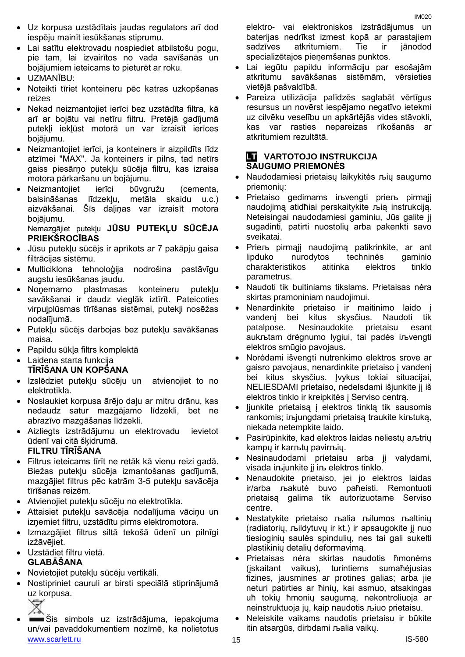- Uz korpusa uzstādītais jaudas regulators arī dod iespēju mainīt iesūkšanas stiprumu.
- Lai satītu elektrovadu nospiediet atbilstošu pogu, pie tam, lai izvairītos no vada savīšanās un bojājumiem ieteicams to pieturēt ar roku.
- UZMANĪBU:
- Noteikti tīriet konteineru pēc katras uzkopšanas reizes
- Nekad neizmantojiet ierīci bez uzstādīta filtra, kā arī ar bojātu vai netīru filtru. Pretējā gadījumā putekļi iekļūst motorā un var izraisīt ierīces bojājumu.
- Neizmantojiet ierīci, ja konteiners ir aizpildīts līdz atzīmei "MAX". Ja konteiners ir pilns, tad netīrs gaiss piesārņo putekļu sūcēja filtru, kas izraisa motora pārkaršanu un bojājumu.
- Neizmantojiet ierīci būvgružu (cementa, balsināšanas līdzekļu, metāla skaidu u.c.) aizvākšanai. Šīs daļiņas var izraisīt motora bojājumu.

# Nemazgājiet putekļu **JŪSU PUTEKĻU SŪCĒJA PRIEKŠROCĪBAS**

- Jūsu putekļu sūcējs ir aprīkots ar 7 pakāpju gaisa filtrācijas sistēmu.
- Multiciklona tehnoloģija nodrošina pastāvīgu augstu iesūkšanas jaudu.
- Noņemamo plastmasas konteineru putekļu savākšanai ir daudz vieglāk iztīrīt. Pateicoties virpuļplūsmas tīrīšanas sistēmai, putekļi nosēžas nodalījumā.
- Putekļu sūcējs darbojas bez putekļu savākšanas maisa.
- Papildu sūkļa filtrs komplektā
- Laidena starta funkcija **TĪRĪŠANA UN KOPŠANA**
- Izslēdziet putekļu sūcēju un atvienojiet to no elektrotīkla.
- Noslaukiet korpusa ārējo daļu ar mitru drānu, kas nedaudz satur mazgājamo līdzekli, bet ne abrazīvo mazgāšanas līdzekli.
- Aizliegts izstrādājumu un elektrovadu ievietot ūdenī vai citā šķidrumā.

# **FILTRU TĪRĪŠANA**

- Filtrus ieteicams tīrīt ne retāk kā vienu reizi gadā. Biežas putekļu sūcēja izmantošanas gadījumā, mazgājiet filtrus pēc katrām 3-5 putekļu savācēja tīrīšanas reizēm.
- Atvienojiet putekļu sūcēju no elektrotīkla.
- Attaisiet putekļu savācēja nodalījuma vāciņu un izņemiet filtru, uzstādītu pirms elektromotora.
- Izmazgājiet filtrus siltā tekošā ūdenī un pilnīgi izžāvējiet.

# Uzstādiet filtru vietā. **GLABĀŠANA**

- Novietojiet putekļu sūcēju vertikāli.
- Nostipriniet cauruli ar birsti speciālā stiprinājumā uz korpusa.



www.scarlett.ru 15 IS-580 Šis simbols uz izstrādājuma, iepakojuma un/vai pavaddokumentiem nozīmē, ka nolietotus

elektro- vai elektroniskos izstrādājumus un baterijas nedrīkst izmest kopā ar parastajiem sadzīves atkritumiem. Tie ir jānodod specializētajos pieņemšanas punktos.

- Lai iegūtu papildu informāciju par esošajām atkritumu savākšanas sistēmām, vērsieties vietējā pašvaldībā.
- Pareiza utilizācija palīdzēs saglabāt vērtīgus resursus un novērst iespējamo negatīvo ietekmi uz cilvēku veselību un apkārtējās vides stāvokli, kas var rasties nepareizas rīkošanās ar atkritumiem rezultātā.

# **LT VARTOTOJO INSTRUKCIJA SAUGUMO PRIEMONĖS**

- Naudodamiesi prietaisų laikykitės љių saugumo priemonių:
- Prietaiso gedimams iљvengti prieљ pirmąjį naudojimą atidћiai perskaitykite љią instrukciją. Neteisingai naudodamiesi gaminiu, Jūs galite jį sugadinti, patirti nuostolių arba pakenkti savo sveikatai.
- Prieљ pirmąjį naudojimą patikrinkite, ar ant lipduko nurodytos techninės gaminio charakteristikos atitinka elektros tinklo parametrus.
- Naudoti tik buitiniams tikslams. Prietaisas nėra skirtas pramoniniam naudojimui.
- Nenardinkite prietaiso ir maitinimo laido į vandenį bei kitus skysčius. Naudoti tik patalpose. Nesinaudokite prietaisu esant aukљtam drėgnumo lygiui, tai padės iљvengti elektros smūgio pavojaus.
- Norėdami išvengti nutrenkimo elektros srove ar gaisro pavojaus, nenardinkite prietaiso į vandenį bei kitus skysčius. Įvykus tokiai situacijai, NELIESDAMI prietaiso, nedelsdami išjunkite jį iš elektros tinklo ir kreipkitės į Serviso centrą.
- Įjunkite prietaisą į elektros tinklą tik sausomis rankomis; iљjungdami prietaisą traukite kiљtuką, niekada netempkite laido.
- Pasirūpinkite, kad elektros laidas neliestų aљtrių kampų ir karљtų pavirљių.
- Nesinaudodami prietaisu arba jį valydami, visada iљjunkite jį iљ elektros tinklo.
- Nenaudokite prietaiso, jei jo elektros laidas ir/arba љakutė buvo paћeisti. Remontuoti prietaisą galima tik autorizuotame Serviso centre.
- Nestatykite prietaiso љalia љilumos љaltinių (radiatorių, љildytuvų ir kt.) ir apsaugokite jį nuo tiesioginių saulės spindulių, nes tai gali sukelti plastikinių detalių deformavimą.
- Prietaisas nėra skirtas naudotis ћmonėms (įskaitant vaikus), turintiems sumaћėjusias fizines, jausmines ar protines galias; arba jie neturi patirties ar ћinių, kai asmuo, atsakingas uћ tokių ћmonių saugumą, nekontroliuoja ar neinstruktuoja jų, kaip naudotis љiuo prietaisu.
- Neleiskite vaikams naudotis prietaisu ir būkite itin atsargūs, dirbdami љalia vaikų.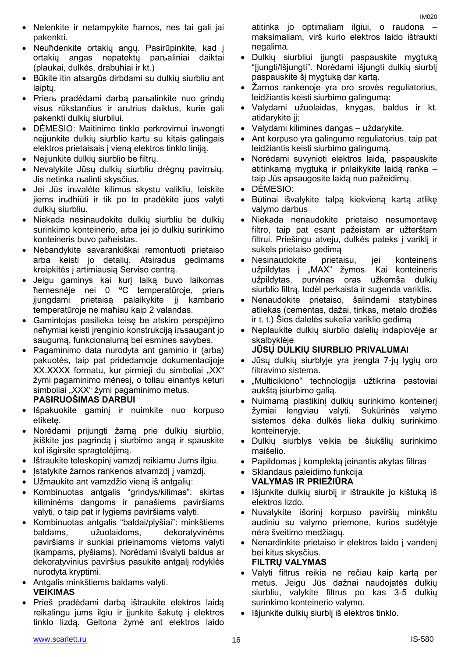- Neuћdenkite ortakių angų. Pasirūpinkite, kad į ortakių angas nepatektų paљaliniai daiktai (plaukai, dulkės, drabuћiai ir kt.)
- Būkite itin atsargūs dirbdami su dulkių siurbliu ant laiptų.
- Prieљ pradėdami darbą paљalinkite nuo grindų visus rūkstančius ir aљtrius daiktus, kurie gali pakenkti dulkių siurbliui.
- DĖMESIO: Maitinimo tinklo perkrovimui iљvengti neįjunkite dulkių siurblio kartu su kitais galingais elektros prietaisais į vieną elektros tinklo liniją.
- Nejjunkite dulkių siurblio be filtrų.
- Nevalykite Jūsų dulkių siurbliu drėgnų pavirљių. Jis netinka љalinti skysčius.
- Jei Jūs iљvalėte kilimus skystu valikliu, leiskite jiems iљdћiūti ir tik po to pradėkite juos valyti dulkių siurbliu.
- Niekada nesinaudokite dulkių siurbliu be dulkių surinkimo konteinerio, arba jei jo dulkių surinkimo konteineris buvo paћeistas.
- Nebandykite savarankiškai remontuoti prietaiso arba keisti jo detalių. Atsiradus gedimams kreipkitės į artimiausią Serviso centrą.
- Jeigu gaminys kai kurį laiką buvo laikomas ћemesnėje nei 0 ºC temperatūroje, prieљ įjungdami prietaisą palaikykite jį kambario temperatūroje ne maћiau kaip 2 valandas.
- Gamintojas pasilieka teisę be atskiro perspėjimo neћymiai keisti įrenginio konstrukciją iљsaugant jo saugumą, funkcionalumą bei esmines savybes.
- Pagaminimo data nurodyta ant gaminio ir (arba) pakuotės, taip pat pridedamoje dokumentacijoje XX.XXXX formatu, kur pirmieji du simboliai "XX" žymi pagaminimo mėnesį, o toliau einantys keturi simboliai "XXX" žymi pagaminimo metus.

# **PASIRUOŠIMAS DARBUI**

- Išpakuokite gaminį ir nuimkite nuo korpuso etiketę.
- Norėdami prijungti žarną prie dulkių siurblio, įkiškite jos pagrindą į siurbimo angą ir spauskite kol išgirsite spragtelėjimą.
- Ištraukite teleskopinį vamzdį reikiamu Jums ilgiu.
- Įstatykite žarnos rankenos atvamzdį į vamzdį.
- Užmaukite ant vamzdžio vieną iš antgalių:
- Kombinuotas antgalis "grindys/kilimas": skirtas kiliminėms dangoms ir panašiems paviršiams valyti, o taip pat ir lygiems paviršiams valyti.
- Kombinuotas antgalis "baldai/plyšiai": minkštiems baldams, užuolaidoms, dekoratyvinėms paviršiams ir sunkiai prieinamoms vietoms valyti (kampams, plyšiams). Norėdami išvalyti baldus ar dekoratyvinius paviršius pasukite antgalį rodyklės nurodyta kryptimi.
- Antgalis minkštiems baldams valyti. **VEIKIMAS**
- Prieš pradėdami darbą ištraukite elektros laidą reikalingu jums ilgiu ir jiunkite šakute į elektros tinklo lizdą. Geltona žymė ant elektros laido

atitinka jo optimaliam ilgiui, o raudona – maksimaliam, virš kurio elektros laido ištraukti negalima.

- Dulkių siurbliui įjungti paspauskite mygtuką "Įjungti/Išjungti". Norėdami išjungti dulkių siurblį paspauskite šį mygtuką dar kartą.
- Žarnos rankenoje yra oro srovės reguliatorius, leidžiantis keisti siurbimo galingumą:
- Valydami užuolaidas, knygas, baldus ir kt. atidarykite jį;
- Valydami kilimines dangas uždarykite.
- Ant korpuso yra galingumo reguliatorius, taip pat leidžiantis keisti siurbimo galingumą.
- Norėdami suvynioti elektros laidą, paspauskite atitinkamą mygtuką ir prilaikykite laidą ranka – taip Jūs apsaugosite laidą nuo pažeidimų.
- DĖMESIO:
- Būtinai išvalykite talpą kiekvieną kartą atlikę valymo darbus
- Niekada nenaudokite prietaiso nesumontavę filtro, taip pat esant pažeistam ar užterštam filtrui. Priešingu atveju, dulkės pateks į variklį ir sukels prietaiso gedimą
- Nesinaudokite prietaisu, jei konteineris užpildytas į "MAX" žymos. Kai konteineris užpildytas, purvinas oras užkemša dulkių siurblio filtrą, todėl perkaista ir sugenda variklis.
- Nenaudokite prietaiso, šalindami statybines atliekas (cementas, dažai, tinkas, metalo drožlės ir t. t.) Šios dalelės sukelia variklio gedimą
- Neplaukite dulkių siurblio dalelių indaplovėje ar skalbyklėje

# **JŪSŲ DULKIŲ SIURBLIO PRIVALUMAI**

- Jūsų dulkių siurblyje yra įrengta 7-jų lygių oro filtravimo sistema.
- "Multiciklono" technologija užtikrina pastoviai aukštą įsiurbimo galią.
- Nuimamą plastikinį dulkių surinkimo konteinerį žymiai lengviau valyti. Sukūrinės valymo sistemos dėka dulkės lieka dulkių surinkimo konteineryje.
- Dulkių siurblys veikia be šiukšlių surinkimo maišelio.
- Papildomas į komplektą įeinantis akytas filtras
- Sklandaus paleidimo funkcija **VALYMAS IR PRIEŽIŪRA**
- Išjunkite dulkių siurblį ir ištraukite jo kištuką iš elektros lizdo.
- Nuvalykite išorinį korpuso paviršių minkštu audiniu su valymo priemone, kurios sudėtyje nėra šveitimo medžiagų.
- Nenardinkite prietaiso ir elektros laido į vandenį bei kitus skysčius.

# **FILTRŲ VALYMAS**

- Valyti filtrus reikia ne rečiau kaip kartą per metus. Jeigu Jūs dažnai naudojatės dulkių siurbliu, valykite filtrus po kas 3-5 dulkių surinkimo konteinerio valymo.
- Išjunkite dulkių siurblį iš elektros tinklo.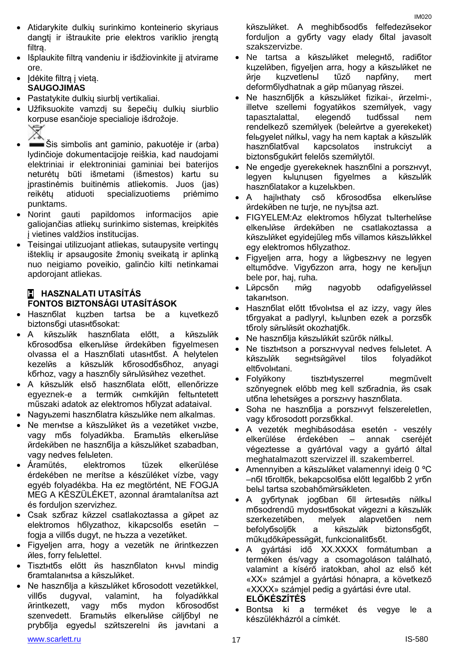- Atidarykite dulkių surinkimo konteinerio skyriaus dangti ir ištraukite prie elektros variklio irengta filtrą.
- Išplaukite filtrą vandeniu ir išdžiovinkite jį atvirame ore.
- Įdėkite filtrą į vietą. **SAUGOJIMAS**
- Pastatykite dulkių siurblį vertikaliai.
- Užfiksuokite vamzdį su šepečių dulkių siurblio korpuse esančioje specialioje išdrožoje.
- Šis simbolis ant gaminio, pakuotėje ir (arba) lydinčioje dokumentacijoje reiškia, kad naudojami elektriniai ir elektroniniai gaminiai bei baterijos neturėtų būti išmetami (išmestos) kartu su įprastinėmis buitinėmis atliekomis. Juos (jas) reikėtų atiduoti specializuotiems priėmimo punktams.
- Norint gauti papildomos informacijos apie galiojančias atliekų surinkimo sistemas, kreipkitės į vietines valdžios institucijas.
- Teisingai utilizuojant atliekas, sutaupysite vertingų išteklių ir apsaugosite žmonių sveikatą ir aplinką nuo neigiamo poveikio, galinčio kilti netinkamai apdorojant atliekas.

# **H HASZNALATI UTASÍTÁS FONTOS BIZTONSÁGI UTASÍTÁSOK**

- Hasznбlat kцzben tartsa be a kцvetkező biztonsбgi utasнtбsokat:
- A kйszьlйk hasznбlata előtt, a kйszьlйk kбrosodбsa elkerьlйse йrdekйben figyelmesen olvassa el a Hasznбlati utasнtбst. A helytelen kezelйs a kйszьlйk kбrosodбsбhoz, anyagi kбrhoz, vagy a hasznбlу sйrьlйsйhez vezethet.
- A kйszьlйk első hasznбlata előtt, ellenőrizze egyeznek-e a termйk cнmkйjйn feltьntetett műszaki adatok az elektromos hбlуzat adataival.
- Nagyьzemi hasznбlatra kйszьlйke nem alkalmas.
- Ne merнtse a kйszьlйket йs a vezetйket vнzbe, vagy mбs folyadйkba. Бramьtйs elkerьlйse йrdekйben ne hasznбlja a kйszьlйket szabadban, vagy nedves felьleten.
- Áramütés, elektromos tüzek elkerülése érdekében ne merítse a készüléket vízbe, vagy egyéb folyadékba. Ha ez megtörtént, NE FOGJA MEG A KÉSZÜLÉKET, azonnal áramtalanítsa azt és forduljon szervizhez.
- Csak szбraz kйzzel csatlakoztassa a gйpet az elektromos hбlуzathoz, kikapcsolбs esetйn – fogja a villбs dugуt, ne hъzza a vezetйket.
- Figyeljen arra, hogy a vezetйk ne йrintkezzen йles, forrу felьlettel.
- Tisztнtбs előtt йs hasznбlaton kнvьl mindig бramtalanнtsa a kйszьlйket.
- Ne hasznбlja a kйszьlйket kбrosodott vezetйkkel, villбs dugуval, valamint, ha folyadйkkal йrintkezett, vagy mбs mуdon kбrosodбst szenvedett. Бramьtйs elkerьlйse cйliбbyl ne prуbбlja egyedьl szйtszerelni йs javнtani a

szakszervizbe.

 Ne hasznбljбk a kйszьlйket fizikai-, йrzelmi-, illetve szellemi fogyatйkos szemйlyek, vagy tapasztalattal, elegendő tudбssal nem rendelkező szemйlyek (beleйrtve a gyerekeket) felьgyelet nйlkьl, vagy ha nem kaptak a kйszьlйk hasznбlatбval kapcsolatos instrukciуt a biztonsбgukйrt felelős szemйlytől.

kйszьlйket. A meghibбsodбs felfedezйsekor forduljon a gyбrtу vagy eladу бltal javasolt

 Ne tartsa a kйszьlйket melegнtő, radiбtor kцzelйben, figyeljen arra, hogy a kйszьlйket ne

- Ne engedje gyerekeknek hasznбlni a porszнvуt, legyen kьlцnцsen figyelmes a kйszьlйk hasznбlatakor a kцzelьkben.
- A hajlнthatу cső kбrosodбsa elkerьlйse йrdekйben ne tцrje, ne nyъjtsa azt.
- FIGYELEM:Az elektromos hбlуzat tъlterhelйse elkerьlйse йrdekйben ne csatlakoztassa a kйszьlйket egyidejűleg mбs villamos kйszьlйkkel egy elektromos hбlуzathoz.
- Figyeljen arra, hogy a lйgbeszнvу ne legyen eltцmődve. Vigyбzzon arra, hogy ne kerьljцn bele por, haj, ruha.
- Lйpcsőn mйg nagyobb odafigyelйssel takarнtson.
- Hasznбlat előtt tбvolнtsa el az izzу, vagy йles tбrgyakat a padlуrуl, kьlцnben ezek a porzsбk tбrolу sйrьlйsйt okozhatjбk.
- Ne hasznбlia kйszьlйkйt szűrők nйlkы.
- Ne tisztнtson a porszнvуval nedves felьletet. A kйszьlйk segнtsйgйvel tilos folyadйkot eltбvolнtani.
- Folyйkony tisztнtуszerrel megművelt szőnyegnek előbb meg kell szбradnia, йs csak utбna lehetsйges a porszнvу hasznбlata.
- Soha ne hasznбlja a porszнvуt felszereletlen, vagy kбrosodott porzsбkkal.
- A vezeték meghibásodása esetén veszély elkerülése érdekében – annak cseréjét végeztesse a gyártóval vagy a gyártó által meghatalmazott szervizzel ill. szakemberrel.
- Amennyiben a kйszьlйket valamennyi ideig 0 ºC –nбl tбroltбk, bekapcsolбsa előtt legalбbb 2 уrбn belьl tartsa szobahőmйrsйkleten.
- A gyбrtуnak jogбban бll йrtesнtйs nйlkьl mбsodrendű mуdosнtбsokat vйgezni a kйszьlйk szerkezetйben, melyek alapvetően nem befolyбsoljбk a kйszьlйk biztonsбgбt, műkцdőkйpessйgйt, funkcionalitбsбt.
- A gyártási idő XX.XXXX formátumban a terméken és/vagy a csomagoláson található, valamint a kísérő iratokban, ahol az első két «XX» számjel a gyártási hónapra, a következő «XXXX» számjel pedig a gyártási évre utal. **ELŐKÉSZÍTÉS**
- Bontsa ki a terméket és vegye le a készülékházról a címkét.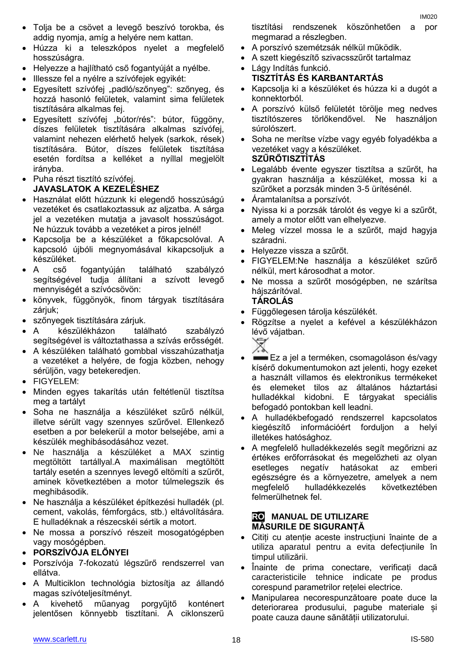- addig nyomja, amíg a helyére nem kattan.
- Húzza ki a teleszkópos nyelet a megfelelő hosszúságra.
- Helyezze a hajlítható cső fogantyúját a nyélbe.
- Illessze fel a nyélre a szívófejek egyikét:
- Egyesített szívófej "padló/szőnyeg": szőnyeg, és hozzá hasonló felületek, valamint sima felületek tisztítására alkalmas fej.
- Egyesített szívófej "bútor/rés": bútor, függöny, díszes felületek tisztítására alkalmas szívófej, valamint nehezen elérhető helyek (sarkok, rések) tisztítására. Bútor, díszes felületek tisztítása esetén fordítsa a kelléket a nyíllal megjelölt irányba.
- Puha részt tisztító szívófej. **JAVASLATOK A KEZELÉSHEZ**
- Használat előtt húzzunk ki elegendő hosszúságú vezetéket és csatlakoztassuk az aljzatba. A sárga jel a vezetéken mutatja a javasolt hosszúságot. Ne húzzuk tovább a vezetéket a piros jelnél!
- Kapcsolja be a készüléket a főkapcsolóval. A kapcsoló újbóli megnyomásával kikapcsoljuk a készüléket.
- A cső fogantyúján található szabályzó segítségével tudja állítani a szívott levegő mennyiségét a szívócsövön:
- könyvek, függönyök, finom tárgyak tisztítására zárjuk;
- szőnyegek tisztítására zárjuk.
- A készülékházon található szabályzó segítségével is változtathassa a szívás erősségét.
- A készüléken található gombbal visszahúzathatja a vezetéket a helyére, de fogja közben, nehogy sérüljön, vagy betekeredjen.
- FIGYFL FM·
- Minden egyes takarítás után feltétlenül tisztítsa meg a tartályt
- Soha ne használja a készüléket szűrő nélkül, illetve sérült vagy szennyes szűrővel. Ellenkező esetben a por belekerül a motor belsejébe, ami a készülék meghibásodásához vezet.
- Ne használja a készüléket a MAX szintig megtöltött tartállyal.A maximálisan megtöltött tartály esetén a szennyes levegő eltömíti a szűrőt, aminek következtében a motor túlmelegszik és meghibásodik.
- Ne használja a készüléket építkezési hulladék (pl. cement, vakolás, fémforgács, stb.) eltávolítására. E hulladéknak a részecskéi sértik a motort.
- Ne mossa a porszívó részeit mosogatógépben vagy mosógépben.
- **PORSZÍVÓJA ELŐNYEI**
- Porszívója 7-fokozatú légszűrő rendszerrel van ellátva.
- A Multiciklon technológia biztosítja az állandó magas szívóteljesítményt.
- A kivehető műanyag porgyűjtő konténert jelentősen könnyebb tisztítani. A ciklonszerű

tisztítási rendszenek köszönhetően a por megmarad a részlegben.

IM020

- A porszívó szemétzsák nélkül működik.
- A szett kiegészítő szivacsszűrőt tartalmaz
- Lágy Indítás funkció. **TISZTÍTÁS ÉS KARBANTARTÁS**
- Kapcsolja ki a készüléket és húzza ki a dugót a konnektorból.
- A porszívó külső felületét törölje meg nedves tisztítószeres törlőkendővel. Ne használjon súrolószert.
- Soha ne merítse vízbe vagy egyéb folyadékba a vezetéket vagy a készüléket. **SZŰRŐTISZTÍTÁS**
- Legalább évente egyszer tisztítsa a szűrőt, ha gyakran használja a készüléket, mossa ki a szűrőket a porzsák minden 3-5 ürítésénél.
- Áramtalanítsa a porszívót.
- Nyissa ki a porzsák tárolót és vegye ki a szűrőt, amely a motor előtt van elhelyezve.
- Meleg vízzel mossa le a szűrőt, majd hagyja száradni.
- Helyezze vissza a szűrőt.
- FIGYELEM:Ne használja a készüléket szűrő nélkül, mert károsodhat a motor.
- Ne mossa a szűrőt mosógépben, ne szárítsa hájszárítóval. **TÁROLÁS**
- Függőlegesen tárolja készülékét.
- Rögzítse a nyelet a kefével a készülékházon lévő vájatban.



- Ez a jel a terméken, csomagoláson és/vagy kísérő dokumentumokon azt jelenti, hogy ezeket a használt villamos és elektronikus termékeket és elemeket tilos az általános háztartási hulladékkal kidobni. E tárgyakat speciális befogadó pontokban kell leadni.
- A hulladékbefogadó rendszerrel kapcsolatos kiegészítő információért forduljon a helyi illetékes hatósághoz.
- A megfelelő hulladékkezelés segít megőrizni az értékes erőforrásokat és megelőzheti az olyan esetleges negatív hatásokat az emberi egészségre és a környezetre, amelyek a nem megfelelő hulladékkezelés következtében felmerülhetnek fel.

# **RO MANUAL DE UTILIZARE MĂSURILE DE SIGURANȚĂ**

- Citiți cu atenție aceste instrucțiuni înainte de a utiliza aparatul pentru a evita defecțiunile în timpul utilizării.
- Înainte de prima conectare, verificați dacă caracteristicile tehnice indicate pe produs corespund parametrilor rețelei electrice.
- Manipularea necorespunzătoare poate duce la deteriorarea produsului, pagube materiale și poate cauza daune sănătății utilizatorului.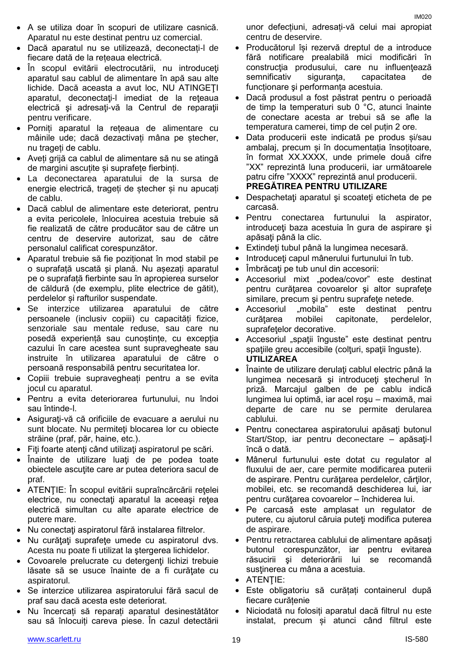- A se utiliza doar în scopuri de utilizare casnică. Aparatul nu este destinat pentru uz comercial.
- Dacă aparatul nu se utilizează, deconectați-l de fiecare dată de la rețeaua electrică.
- În scopul evitării electrocutării, nu introduceţi aparatul sau cablul de alimentare în apă sau alte lichide. Dacă aceasta a avut loc, NU ATINGEŢI aparatul, deconectaţi-l imediat de la reţeaua electrică şi adresaţi-vă la Centrul de reparaţii pentru verificare.
- Porniți aparatul la rețeaua de alimentare cu mâinile ude; dacă dezactivați mâna pe ștecher, nu trageți de cablu.
- Aveți grijă ca cablul de alimentare să nu se atingă de margini ascuțite și suprafețe fierbinți.
- La deconectarea aparatului de la sursa de energie electrică, trageți de ștecher și nu apucați de cablu.
- Dacă cablul de alimentare este deteriorat, pentru a evita pericolele, înlocuirea acestuia trebuie să fie realizată de către producător sau de către un centru de deservire autorizat, sau de către personalul calificat corespunzător.
- Aparatul trebuie să fie poziționat în mod stabil pe o suprafață uscată și plană. Nu așezați aparatul pe o suprafață fierbinte sau în apropierea surselor de căldură (de exemplu, plite electrice de gătit), perdelelor și rafturilor suspendate.
- Se interzice utilizarea aparatului de către persoanele (inclusiv copiii) cu capacități fizice, senzoriale sau mentale reduse, sau care nu posedă experiență sau cunoștințe, cu excepția cazului în care acestea sunt supravegheate sau instruite în utilizarea aparatului de către o persoană responsabilă pentru securitatea lor.
- Copiii trebuie supravegheați pentru a se evita jocul cu aparatul.
- Pentru a evita deteriorarea furtunului, nu îndoi sau întinde-l.
- Asiguraţi-vă că orificiile de evacuare a aerului nu sunt blocate. Nu permiteți blocarea lor cu obiecte străine (praf, păr, haine, etc.).
- Fiţi foarte atenţi când utilizaţi aspiratorul pe scări.
- Înainte de utilizare luati de pe podea toate obiectele ascuţite care ar putea deteriora sacul de praf.
- ATENŢIE: În scopul evitării supraîncărcării reţelei electrice, nu conectati aparatul la aceeasi retea electrică simultan cu alte aparate electrice de putere mare.
- Nu conectaţi aspiratorul fără instalarea filtrelor.
- Nu curățați suprafețe umede cu aspiratorul dvs. Acesta nu poate fi utilizat la ştergerea lichidelor.
- Covoarele prelucrate cu detergenti lichizi trebuie lăsate să se usuce înainte de a fi curățate cu aspiratorul.
- Se interzice utilizarea aspiratorului fără sacul de praf sau dacă acesta este deteriorat.
- Nu încercați să reparați aparatul desinestătător sau să înlocuiți careva piese. În cazul detectării

unor defecțiuni, adresați-vă celui mai apropiat centru de deservire.

- Producătorul își rezervă dreptul de a introduce fără notificare prealabilă mici modificări în construcția produsului, care nu influențează semnificativ siguranța, capacitatea de funcționare şi performanța acestuia.
- Dacă produsul a fost păstrat pentru o perioadă de timp la temperaturi sub 0 °C, atunci înainte de conectare acesta ar trebui să se afle la temperatura camerei, timp de cel puțin 2 ore.
- Data producerii este indicată pe produs și/sau ambalaj, precum și în documentația însoțitoare, în format XX.XXXX, unde primele două cifre "XX" reprezintă luna producerii, iar următoarele patru cifre "XXXX" reprezintă anul producerii. **PREGĂTIREA PENTRU UTILIZARE**
- Despachetaţi aparatul şi scoateţi eticheta de pe carcasă.
- Pentru conectarea furtunului la aspirator, introduceti baza acestuia în gura de aspirare și apăsaţi până la clic.
- Extindeţi tubul până la lungimea necesară.
- Introduceti capul mânerului furtunului în tub.
- Îmbrăcați pe tub unul din accesorii:
- Accesoriul mixt "podea/covor" este destinat pentru curătarea covoarelor și altor suprafete similare, precum și pentru suprafețe netede.
- Accesoriul "mobila" este destinat pentru curățarea mobilei capitonate, perdelelor, suprafetelor decorative.
- Accesoriul "spații înguste" este destinat pentru spațiile greu accesibile (colțuri, spații înguste). **UTILIZAREA**
- Înainte de utilizare derulați cablul electric până la lungimea necesară şi introduceţi ştecherul în priză. Marcajul galben de pe cablu indică lungimea lui optimă, iar acel roşu – maximă, mai departe de care nu se permite derularea cablului.
- Pentru conectarea aspiratorului apăsați butonul Start/Stop, iar pentru deconectare – apăsați-l încă o dată.
- Mânerul furtunului este dotat cu regulator al fluxului de aer, care permite modificarea puterii de aspirare. Pentru curăţarea perdelelor, cărţilor, mobilei, etc. se recomandă deschiderea lui, iar pentru curăţarea covoarelor – închiderea lui.
- Pe carcasă este amplasat un regulator de putere, cu ajutorul căruia puteţi modifica puterea de aspirare.
- Pentru retractarea cablului de alimentare apăsaţi butonul corespunzător, iar pentru evitarea răsucirii şi deteriorării lui se recomandă sustinerea cu mâna a acestuia.
- ATENTIE:
- Este obligatoriu să curățați containerul după fiecare curățenie
- Niciodată nu folosiți aparatul dacă filtrul nu este instalat, precum și atunci când filtrul este